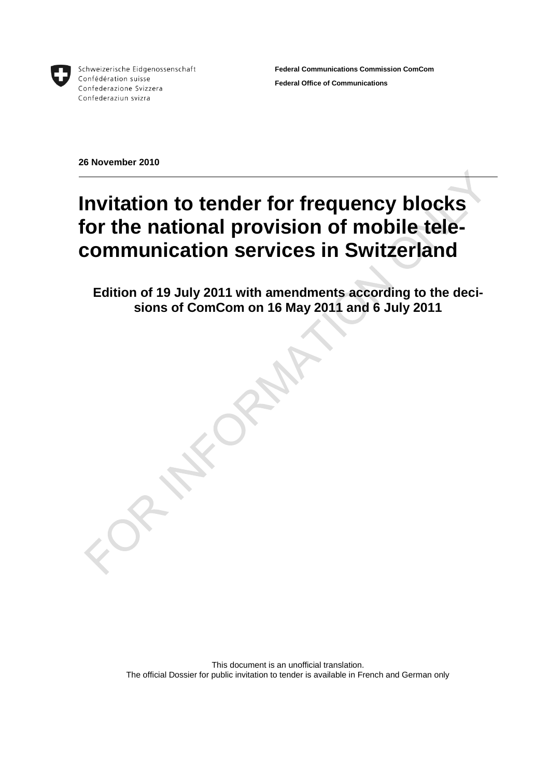

Schweizerische Eidgenossenschaft Confédération suisse Confederazione Svizzera Confederaziun svizra

**Federal Communications Commission ComCom Federal Office of Communications**

**26 November 2010**

## **Invitation to tender for frequency blocks for the national provision of mobile telecommunication services in Switzerland**

**Edition of 19 July 2011 with amendments according to the decisions of ComCom on 16 May 2011 and 6 July 2011**

This document is an unofficial translation. The official Dossier for public invitation to tender is available in French and German only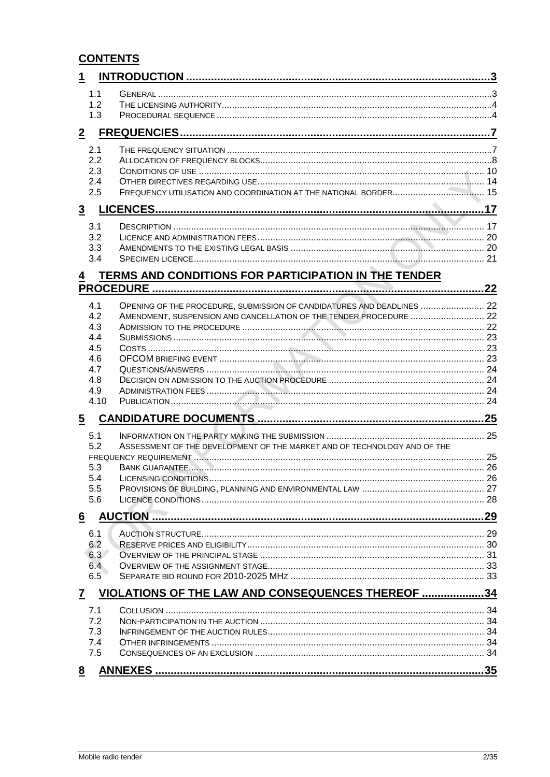### **CONTENTS**

| 1               |                                                                          |  |
|-----------------|--------------------------------------------------------------------------|--|
| 1.1             |                                                                          |  |
| 1.2             |                                                                          |  |
| 1.3             |                                                                          |  |
| $\overline{2}$  |                                                                          |  |
| 2.1             |                                                                          |  |
| 2.2             |                                                                          |  |
| 2.3<br>2.4      |                                                                          |  |
| 2.5             |                                                                          |  |
| $\overline{3}$  |                                                                          |  |
| 3.1             |                                                                          |  |
| 3.2             |                                                                          |  |
| 3.3             |                                                                          |  |
| 3.4             |                                                                          |  |
| $\overline{4}$  | TERMS AND CONDITIONS FOR PARTICIPATION IN THE TENDER                     |  |
|                 |                                                                          |  |
| 4.1             | OPENING OF THE PROCEDURE, SUBMISSION OF CANDIDATURES AND DEADLINES  22   |  |
| 4.2             | AMENDMENT, SUSPENSION AND CANCELLATION OF THE TENDER PROCEDURE  22       |  |
| 4.3<br>4.4      |                                                                          |  |
| 4.5             |                                                                          |  |
| 4.6             |                                                                          |  |
| 4.7             |                                                                          |  |
| 4.8             |                                                                          |  |
| 4.9<br>4.10     |                                                                          |  |
|                 |                                                                          |  |
| $\overline{5}$  |                                                                          |  |
| 5.1             |                                                                          |  |
| 5.2             | ASSESSMENT OF THE DEVELOPMENT OF THE MARKET AND OF TECHNOLOGY AND OF THE |  |
| 5.3             |                                                                          |  |
| 5.4             |                                                                          |  |
| 5.5             |                                                                          |  |
| 5.6             |                                                                          |  |
| $6\overline{6}$ |                                                                          |  |
| 6.1             |                                                                          |  |
| 6.2             |                                                                          |  |
| 6.3             |                                                                          |  |
| 6.4<br>6.5      |                                                                          |  |
|                 |                                                                          |  |
| $\mathbf{7}$    | VIOLATIONS OF THE LAW AND CONSEQUENCES THEREOF 34                        |  |
| 7.1<br>7.2      |                                                                          |  |
| 7.3             |                                                                          |  |
| 7.4             |                                                                          |  |
| 7.5             |                                                                          |  |
| 8               |                                                                          |  |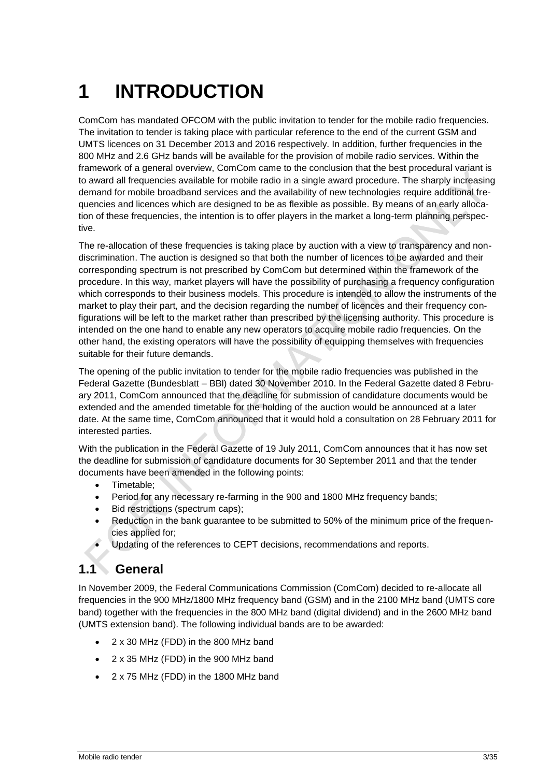# <span id="page-2-0"></span>**1 INTRODUCTION**

ComCom has mandated OFCOM with the public invitation to tender for the mobile radio frequencies. The invitation to tender is taking place with particular reference to the end of the current GSM and UMTS licences on 31 December 2013 and 2016 respectively. In addition, further frequencies in the 800 MHz and 2.6 GHz bands will be available for the provision of mobile radio services. Within the framework of a general overview, ComCom came to the conclusion that the best procedural variant is to award all frequencies available for mobile radio in a single award procedure. The sharply increasing demand for mobile broadband services and the availability of new technologies require additional frequencies and licences which are designed to be as flexible as possible. By means of an early allocation of these frequencies, the intention is to offer players in the market a long-term planning perspective.

The re-allocation of these frequencies is taking place by auction with a view to transparency and nondiscrimination. The auction is designed so that both the number of licences to be awarded and their corresponding spectrum is not prescribed by ComCom but determined within the framework of the procedure. In this way, market players will have the possibility of purchasing a frequency configuration which corresponds to their business models. This procedure is intended to allow the instruments of the market to play their part, and the decision regarding the number of licences and their frequency configurations will be left to the market rather than prescribed by the licensing authority. This procedure is intended on the one hand to enable any new operators to acquire mobile radio frequencies. On the other hand, the existing operators will have the possibility of equipping themselves with frequencies suitable for their future demands.

The opening of the public invitation to tender for the mobile radio frequencies was published in the Federal Gazette (Bundesblatt – BBl) dated 30 November 2010. In the Federal Gazette dated 8 February 2011, ComCom announced that the deadline for submission of candidature documents would be extended and the amended timetable for the holding of the auction would be announced at a later date. At the same time, ComCom announced that it would hold a consultation on 28 February 2011 for interested parties.

With the publication in the Federal Gazette of 19 July 2011, ComCom announces that it has now set the deadline for submission of candidature documents for 30 September 2011 and that the tender documents have been amended in the following points:

- Timetable:
- Period for any necessary re-farming in the 900 and 1800 MHz frequency bands;
- Bid restrictions (spectrum caps);
- Reduction in the bank guarantee to be submitted to 50% of the minimum price of the frequencies applied for;
- Updating of the references to CEPT decisions, recommendations and reports.

### <span id="page-2-1"></span>**1.1 General**

In November 2009, the Federal Communications Commission (ComCom) decided to re-allocate all frequencies in the 900 MHz/1800 MHz frequency band (GSM) and in the 2100 MHz band (UMTS core band) together with the frequencies in the 800 MHz band (digital dividend) and in the 2600 MHz band (UMTS extension band). The following individual bands are to be awarded:

- 2 x 30 MHz (FDD) in the 800 MHz band
- 2 x 35 MHz (FDD) in the 900 MHz band
- 2 x 75 MHz (FDD) in the 1800 MHz band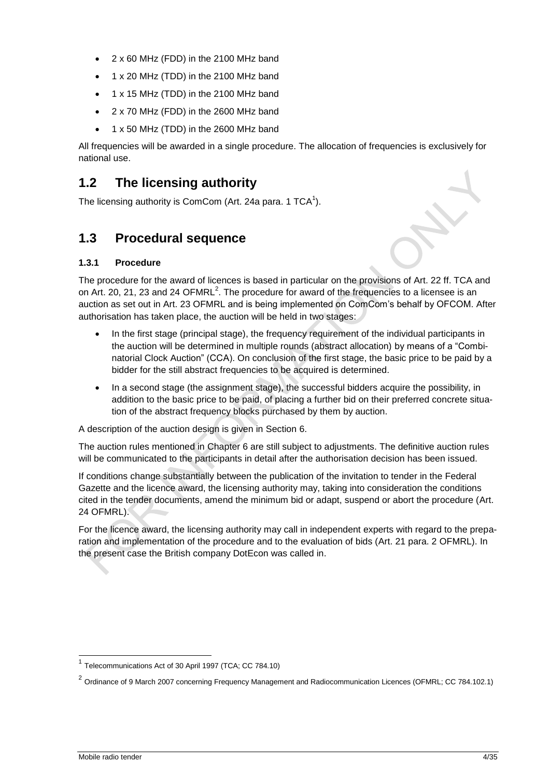- 2 x 60 MHz (FDD) in the 2100 MHz band
- 1 x 20 MHz (TDD) in the 2100 MHz band
- 1 x 15 MHz (TDD) in the 2100 MHz band
- 2 x 70 MHz (FDD) in the 2600 MHz band
- 1 x 50 MHz (TDD) in the 2600 MHz band

All frequencies will be awarded in a single procedure. The allocation of frequencies is exclusively for national use.

### <span id="page-3-0"></span>**1.2 The licensing authority**

The licensing authority is ComCom (Art. 24a para. 1 TCA $^1$ ).

### <span id="page-3-1"></span>**1.3 Procedural sequence**

### **1.3.1 Procedure**

The procedure for the award of licences is based in particular on the provisions of Art. 22 ff. TCA and on Art. 20, 21, 23 and 24 OFMRL<sup>2</sup>. The procedure for award of the frequencies to a licensee is an auction as set out in Art. 23 OFMRL and is being implemented on ComCom's behalf by OFCOM. After authorisation has taken place, the auction will be held in two stages:

- In the first stage (principal stage), the frequency requirement of the individual participants in the auction will be determined in multiple rounds (abstract allocation) by means of a "Combinatorial Clock Auction" (CCA). On conclusion of the first stage, the basic price to be paid by a bidder for the still abstract frequencies to be acquired is determined.
- In a second stage (the assignment stage), the successful bidders acquire the possibility, in addition to the basic price to be paid, of placing a further bid on their preferred concrete situation of the abstract frequency blocks purchased by them by auction.

A description of the auction design is given in Section 6.

The auction rules mentioned in Chapter 6 are still subject to adjustments. The definitive auction rules will be communicated to the participants in detail after the authorisation decision has been issued.

If conditions change substantially between the publication of the invitation to tender in the Federal Gazette and the licence award, the licensing authority may, taking into consideration the conditions cited in the tender documents, amend the minimum bid or adapt, suspend or abort the procedure (Art. 24 OFMRL).

For the licence award, the licensing authority may call in independent experts with regard to the preparation and implementation of the procedure and to the evaluation of bids (Art. 21 para. 2 OFMRL). In the present case the British company DotEcon was called in.

<sup>—————————————————————&</sup>lt;br><sup>1</sup> Telecommunications Act of 30 April 1997 (TCA; CC 784.10)

<sup>&</sup>lt;sup>2</sup> Ordinance of 9 March 2007 concerning Frequency Management and Radiocommunication Licences (OFMRL; CC 784.102.1)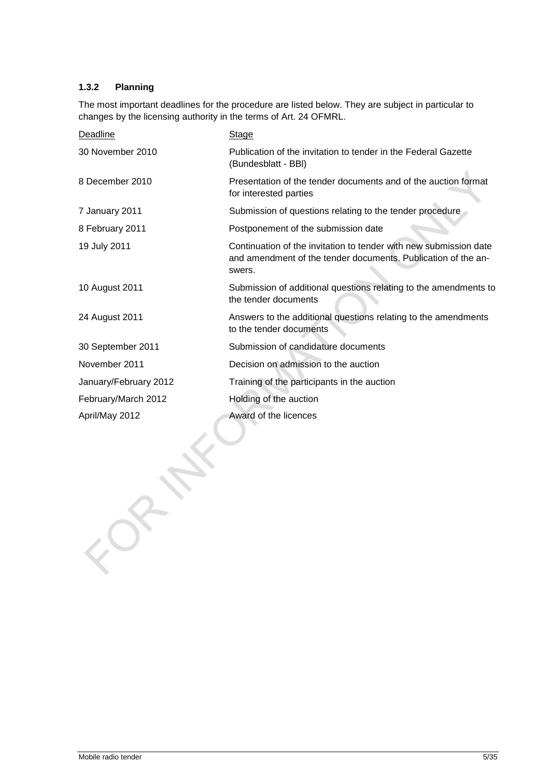### **1.3.2 Planning**

The most important deadlines for the procedure are listed below. They are subject in particular to changes by the licensing authority in the terms of Art. 24 OFMRL.

| <b>Deadline</b>       | <b>Stage</b>                                                                                                                                 |
|-----------------------|----------------------------------------------------------------------------------------------------------------------------------------------|
| 30 November 2010      | Publication of the invitation to tender in the Federal Gazette<br>(Bundesblatt - BBI)                                                        |
| 8 December 2010       | Presentation of the tender documents and of the auction format<br>for interested parties                                                     |
| 7 January 2011        | Submission of questions relating to the tender procedure                                                                                     |
| 8 February 2011       | Postponement of the submission date                                                                                                          |
| 19 July 2011          | Continuation of the invitation to tender with new submission date<br>and amendment of the tender documents. Publication of the an-<br>swers. |
| 10 August 2011        | Submission of additional questions relating to the amendments to<br>the tender documents                                                     |
| 24 August 2011        | Answers to the additional questions relating to the amendments<br>to the tender documents                                                    |
| 30 September 2011     | Submission of candidature documents                                                                                                          |
| November 2011         | Decision on admission to the auction                                                                                                         |
| January/February 2012 | Training of the participants in the auction                                                                                                  |
| February/March 2012   | Holding of the auction                                                                                                                       |
| April/May 2012        | Award of the licences                                                                                                                        |

 $x^*$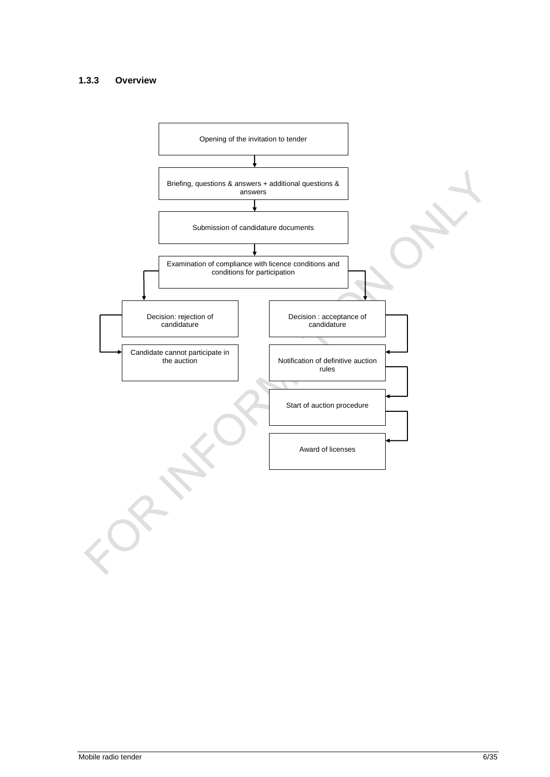#### **1.3.3 Overview**

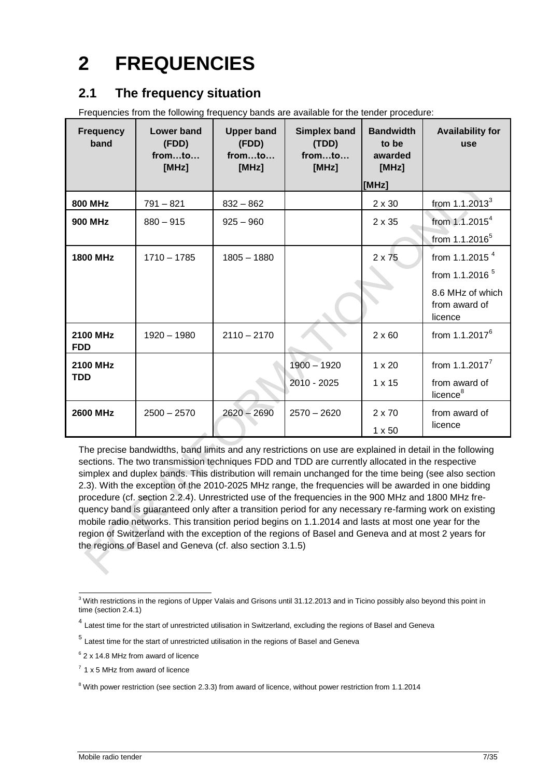# <span id="page-6-0"></span>**2 FREQUENCIES**

### <span id="page-6-1"></span>**2.1 The frequency situation**

Frequencies from the following frequency bands are available for the tender procedure:

| <b>Frequency</b><br>band      | Lower band<br>(FDD)<br>fromto<br>[MHz] | <b>Upper band</b><br>(FDD)<br>fromto<br>[MHz] | <b>Simplex band</b><br>(TDD)<br>fromto<br>[MHz] | <b>Bandwidth</b><br>to be<br>awarded<br>[MHz] | <b>Availability for</b><br>use               |
|-------------------------------|----------------------------------------|-----------------------------------------------|-------------------------------------------------|-----------------------------------------------|----------------------------------------------|
|                               |                                        |                                               |                                                 | [MHz]                                         |                                              |
| <b>800 MHz</b>                | $791 - 821$                            | $832 - 862$                                   |                                                 | $2 \times 30$                                 | from $1.1.2013^3$                            |
| <b>900 MHz</b>                | $880 - 915$                            | $925 - 960$                                   |                                                 | $2 \times 35$                                 | from $1.1.2015^4$                            |
|                               |                                        |                                               |                                                 |                                               | from 1.1.2016 <sup>5</sup>                   |
| <b>1800 MHz</b>               | $1710 - 1785$                          | $1805 - 1880$                                 |                                                 | $2 \times 75$                                 | from 1.1.2015 $4$                            |
|                               |                                        |                                               |                                                 |                                               | from 1.1.2016 $5$                            |
|                               |                                        |                                               |                                                 |                                               | 8.6 MHz of which<br>from award of<br>licence |
| <b>2100 MHz</b><br><b>FDD</b> | $1920 - 1980$                          | $2110 - 2170$                                 |                                                 | $2 \times 60$                                 | from $1.1.2017^6$                            |
| <b>2100 MHz</b>               |                                        |                                               | $1900 - 1920$                                   | $1 \times 20$                                 | from $1.1.2017^7$                            |
| <b>TDD</b>                    |                                        |                                               | 2010 - 2025                                     | $1 \times 15$                                 | from award of<br>licence <sup>8</sup>        |
| 2600 MHz                      | $2500 - 2570$                          | $2620 - 2690$                                 | $2570 - 2620$                                   | $2 \times 70$                                 | from award of                                |
|                               |                                        |                                               |                                                 | $1 \times 50$                                 | licence                                      |

The precise bandwidths, band limits and any restrictions on use are explained in detail in the following sections. The two transmission techniques FDD and TDD are currently allocated in the respective simplex and duplex bands. This distribution will remain unchanged for the time being (see also section [2.3\)](#page-9-0). With the exception of the 2010-2025 MHz range, the frequencies will be awarded in one bidding procedure (cf. section [2.2.4\)](#page-9-1). Unrestricted use of the frequencies in the 900 MHz and 1800 MHz frequency band is guaranteed only after a transition period for any necessary re-farming work on existing mobile radio networks. This transition period begins on 1.1.2014 and lasts at most one year for the region of Switzerland with the exception of the regions of Basel and Geneva and at most 2 years for the regions of Basel and Geneva (cf. also section 3.1.5)

<sup>-</sup> $3$  With restrictions in the regions of Upper Valais and Grisons until 31.12.2013 and in Ticino possibly also beyond this point in time (sectio[n 2.4.1\)](#page-13-1)

<sup>&</sup>lt;sup>4</sup> Latest time for the start of unrestricted utilisation in Switzerland, excluding the regions of Basel and Geneva

<sup>&</sup>lt;sup>5</sup> Latest time for the start of unrestricted utilisation in the regions of Basel and Geneva

<sup>&</sup>lt;sup>6</sup> 2 x 14.8 MHz from award of licence

 $7$  1 x 5 MHz from award of licence

<sup>&</sup>lt;sup>8</sup> With power restriction (see sectio[n 2.3.3\)](#page-12-0) from award of licence, without power restriction from 1.1.2014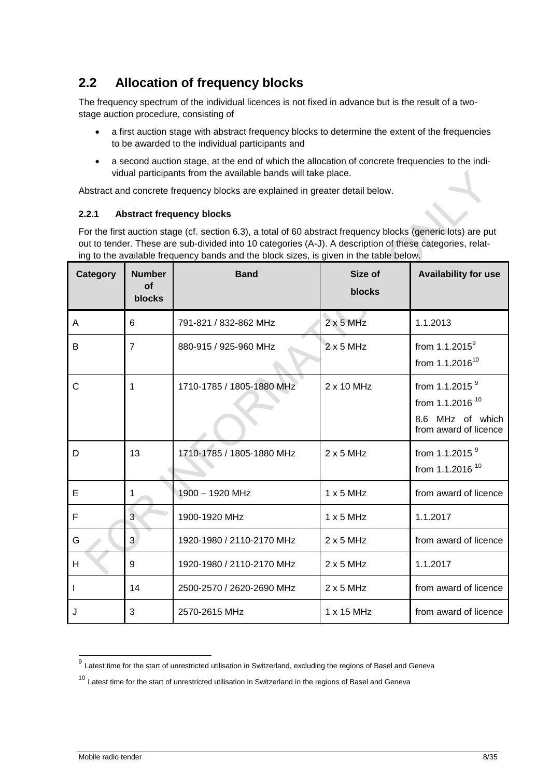### <span id="page-7-0"></span>**2.2 Allocation of frequency blocks**

The frequency spectrum of the individual licences is not fixed in advance but is the result of a twostage auction procedure, consisting of

- a first auction stage with abstract frequency blocks to determine the extent of the frequencies to be awarded to the individual participants and
- a second auction stage, at the end of which the allocation of concrete frequencies to the individual participants from the available bands will take place.

Abstract and concrete frequency blocks are explained in greater detail below.

#### **2.2.1 Abstract frequency blocks**

For the first auction stage (cf. section 6.3), a total of 60 abstract frequency blocks (generic lots) are put out to tender. These are sub-divided into 10 categories (A-J). A description of these categories, relating to the available frequency bands and the block sizes, is given in the table below.

| Category | <b>Number</b><br><b>of</b><br>blocks | <b>Band</b>               | Size of<br>blocks | <b>Availability for use</b>                                                                   |
|----------|--------------------------------------|---------------------------|-------------------|-----------------------------------------------------------------------------------------------|
| A        | 6                                    | 791-821 / 832-862 MHz     | $2 \times 5$ MHz  | 1.1.2013                                                                                      |
| B        | $\overline{7}$                       | 880-915 / 925-960 MHz     | $2x5$ MHz         | from $1.1.2015^9$<br>from $1.1.2016^{10}$                                                     |
| С        | 1                                    | 1710-1785 / 1805-1880 MHz | $2 \times 10$ MHz | from 1.1.2015 $9$<br>from 1.1.2016 <sup>10</sup><br>8.6 MHz of which<br>from award of licence |
| D        | 13                                   | 1710-1785 / 1805-1880 MHz | $2 \times 5$ MHz  | from 1.1.2015 <sup>9</sup><br>from 1.1.2016 <sup>10</sup>                                     |
| Е        | 1                                    | $1900 - 1920$ MHz         | 1x5MHz            | from award of licence                                                                         |
| F        | $\overline{3}$                       | 1900-1920 MHz             | $1 \times 5$ MHz  | 1.1.2017                                                                                      |
| G        | 3                                    | 1920-1980 / 2110-2170 MHz | $2 \times 5$ MHz  | from award of licence                                                                         |
| H        | 9                                    | 1920-1980 / 2110-2170 MHz | $2 \times 5$ MHz  | 1.1.2017                                                                                      |
|          | 14                                   | 2500-2570 / 2620-2690 MHz | $2x5$ MHz         | from award of licence                                                                         |
| J        | 3                                    | 2570-2615 MHz             | 1 x 15 MHz        | from award of licence                                                                         |

 9 Latest time for the start of unrestricted utilisation in Switzerland, excluding the regions of Basel and Geneva

<sup>&</sup>lt;sup>10</sup> Latest time for the start of unrestricted utilisation in Switzerland in the regions of Basel and Geneva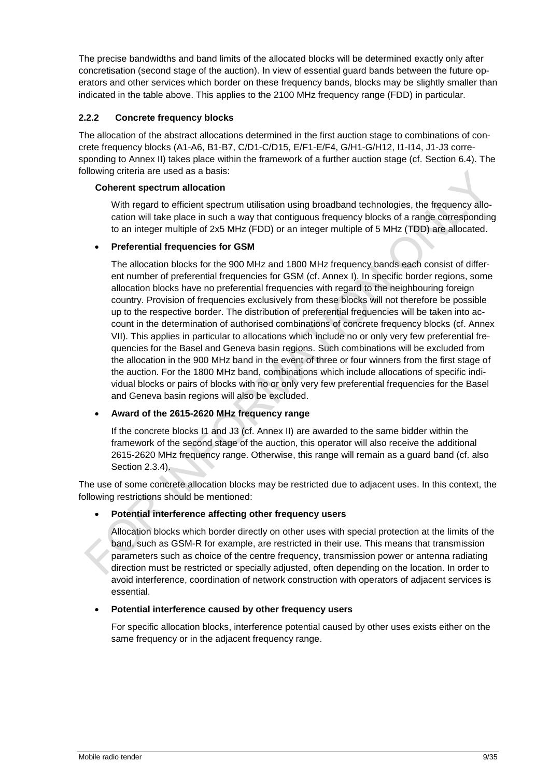The precise bandwidths and band limits of the allocated blocks will be determined exactly only after concretisation (second stage of the auction). In view of essential guard bands between the future operators and other services which border on these frequency bands, blocks may be slightly smaller than indicated in the table above. This applies to the 2100 MHz frequency range (FDD) in particular.

### **2.2.2 Concrete frequency blocks**

The allocation of the abstract allocations determined in the first auction stage to combinations of concrete frequency blocks (A1-A6, B1-B7, C/D1-C/D15, E/F1-E/F4, G/H1-G/H12, I1-I14, J1-J3 corresponding to Annex II) takes place within the framework of a further auction stage (cf. Section 6.4). The following criteria are used as a basis:

#### **Coherent spectrum allocation**

With regard to efficient spectrum utilisation using broadband technologies, the frequency allocation will take place in such a way that contiguous frequency blocks of a range corresponding to an integer multiple of 2x5 MHz (FDD) or an integer multiple of 5 MHz (TDD) are allocated.

### **Preferential frequencies for GSM**

The allocation blocks for the 900 MHz and 1800 MHz frequency bands each consist of different number of preferential frequencies for GSM (cf. Annex I). In specific border regions, some allocation blocks have no preferential frequencies with regard to the neighbouring foreign country. Provision of frequencies exclusively from these blocks will not therefore be possible up to the respective border. The distribution of preferential frequencies will be taken into account in the determination of authorised combinations of concrete frequency blocks (cf. Annex VII). This applies in particular to allocations which include no or only very few preferential frequencies for the Basel and Geneva basin regions. Such combinations will be excluded from the allocation in the 900 MHz band in the event of three or four winners from the first stage of the auction. For the 1800 MHz band, combinations which include allocations of specific individual blocks or pairs of blocks with no or only very few preferential frequencies for the Basel and Geneva basin regions will also be excluded.

### **Award of the 2615-2620 MHz frequency range**

If the concrete blocks I1 and J3 (cf. Annex II) are awarded to the same bidder within the framework of the second stage of the auction, this operator will also receive the additional 2615-2620 MHz frequency range. Otherwise, this range will remain as a guard band (cf. also Section [2.3.4\)](#page-12-1).

The use of some concrete allocation blocks may be restricted due to adjacent uses. In this context, the following restrictions should be mentioned:

### **Potential interference affecting other frequency users**

Allocation blocks which border directly on other uses with special protection at the limits of the band, such as GSM-R for example, are restricted in their use. This means that transmission parameters such as choice of the centre frequency, transmission power or antenna radiating direction must be restricted or specially adjusted, often depending on the location. In order to avoid interference, coordination of network construction with operators of adjacent services is essential.

#### **Potential interference caused by other frequency users**

For specific allocation blocks, interference potential caused by other uses exists either on the same frequency or in the adjacent frequency range.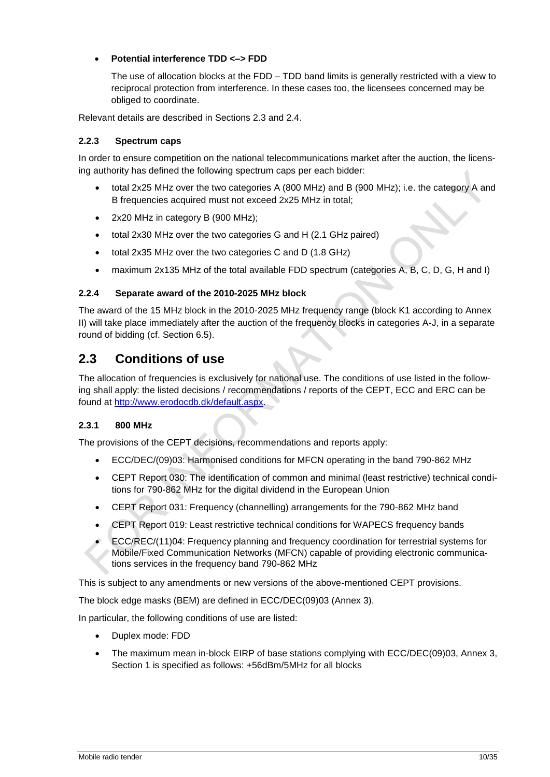### **Potential interference TDD <–> FDD**

The use of allocation blocks at the FDD – TDD band limits is generally restricted with a view to reciprocal protection from interference. In these cases too, the licensees concerned may be obliged to coordinate.

Relevant details are described in Sections [2.3](#page-9-0) and [2.4.](#page-13-0)

#### <span id="page-9-2"></span>**2.2.3 Spectrum caps**

In order to ensure competition on the national telecommunications market after the auction, the licensing authority has defined the following spectrum caps per each bidder:

- total 2x25 MHz over the two categories A (800 MHz) and B (900 MHz); i.e. the category A and B frequencies acquired must not exceed 2x25 MHz in total;
- 2x20 MHz in category B (900 MHz);
- total 2x30 MHz over the two categories G and H (2.1 GHz paired)
- total 2x35 MHz over the two categories C and D (1.8 GHz)
- maximum 2x135 MHz of the total available FDD spectrum (categories A, B, C, D, G, H and I)

#### <span id="page-9-1"></span>**2.2.4 Separate award of the 2010-2025 MHz block**

The award of the 15 MHz block in the 2010-2025 MHz frequency range (block K1 according to Annex II) will take place immediately after the auction of the frequency blocks in categories A-J, in a separate round of bidding (cf. Section [6.5\)](#page-32-1).

### <span id="page-9-0"></span>**2.3 Conditions of use**

The allocation of frequencies is exclusively for national use. The conditions of use listed in the following shall apply: the listed decisions / recommendations / reports of the CEPT, ECC and ERC can be found at [http://www.erodocdb.dk/default.aspx.](http://www.erodocdb.dk/default.aspx)

### **2.3.1 800 MHz**

The provisions of the CEPT decisions, recommendations and reports apply:

- ECC/DEC/(09)03: Harmonised conditions for MFCN operating in the band 790-862 MHz
- CEPT Report 030: The identification of common and minimal (least restrictive) technical conditions for 790-862 MHz for the digital dividend in the European Union
- CEPT Report 031: Frequency (channelling) arrangements for the 790-862 MHz band
- CEPT Report 019: Least restrictive technical conditions for WAPECS frequency bands
- ECC/REC/(11)04: Frequency planning and frequency coordination for terrestrial systems for Mobile/Fixed Communication Networks (MFCN) capable of providing electronic communications services in the frequency band 790-862 MHz

This is subject to any amendments or new versions of the above-mentioned CEPT provisions.

The block edge masks (BEM) are defined in ECC/DEC(09)03 (Annex 3).

In particular, the following conditions of use are listed:

- Duplex mode: FDD
- The maximum mean in-block EIRP of base stations complying with ECC/DEC(09)03, Annex 3, Section 1 is specified as follows: +56dBm/5MHz for all blocks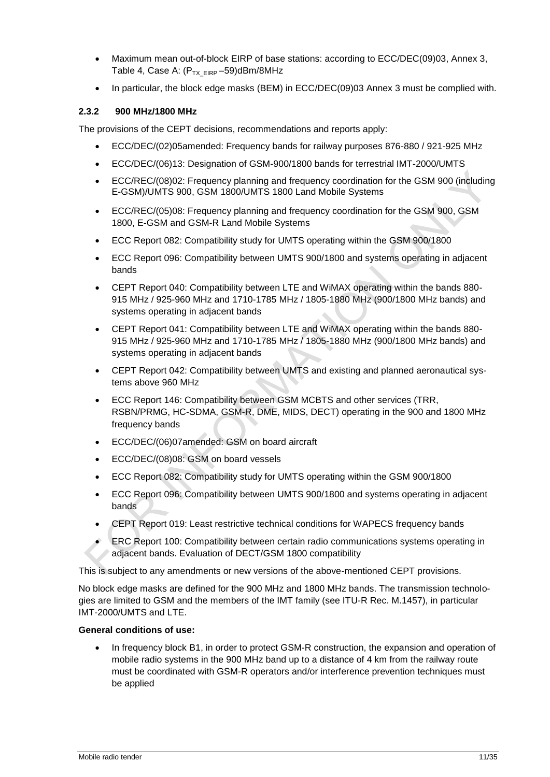- Maximum mean out-of-block EIRP of base stations: according to ECC/DEC(09)03, Annex 3, Table 4, Case A:  $(P_{TX\ EIRP} - 59)$ dBm/8MHz
- In particular, the block edge masks (BEM) in ECC/DEC(09)03 Annex 3 must be complied with.

#### **2.3.2 900 MHz/1800 MHz**

The provisions of the CEPT decisions, recommendations and reports apply:

- ECC/DEC/(02)05amended: Frequency bands for railway purposes 876-880 / 921-925 MHz
- ECC/DEC/(06)13: Designation of GSM-900/1800 bands for terrestrial IMT-2000/UMTS
- ECC/REC/(08)02: Frequency planning and frequency coordination for the GSM 900 (including E-GSM)/UMTS 900, GSM 1800/UMTS 1800 Land Mobile Systems
- ECC/REC/(05)08: Frequency planning and frequency coordination for the GSM 900, GSM 1800, E-GSM and GSM-R Land Mobile Systems
- ECC Report 082: Compatibility study for UMTS operating within the GSM 900/1800
- ECC Report 096: Compatibility between UMTS 900/1800 and systems operating in adjacent bands
- CEPT Report 040: Compatibility between LTE and WiMAX operating within the bands 880- 915 MHz / 925-960 MHz and 1710-1785 MHz / 1805-1880 MHz (900/1800 MHz bands) and systems operating in adjacent bands
- CEPT Report 041: Compatibility between LTE and WiMAX operating within the bands 880- 915 MHz / 925-960 MHz and 1710-1785 MHz / 1805-1880 MHz (900/1800 MHz bands) and systems operating in adjacent bands
- CEPT Report 042: Compatibility between UMTS and existing and planned aeronautical systems above 960 MHz
- ECC Report 146: Compatibility between GSM MCBTS and other services (TRR, RSBN/PRMG, HC-SDMA, GSM-R, DME, MIDS, DECT) operating in the 900 and 1800 MHz frequency bands
- ECC/DEC/(06)07amended: GSM on board aircraft
- ECC/DEC/(08)08: GSM on board vessels
- ECC Report 082: Compatibility study for UMTS operating within the GSM 900/1800
- ECC Report 096: Compatibility between UMTS 900/1800 and systems operating in adjacent bands
- CEPT Report 019: Least restrictive technical conditions for WAPECS frequency bands
- ERC Report 100: Compatibility between certain radio communications systems operating in adjacent bands. Evaluation of DECT/GSM 1800 compatibility

This is subject to any amendments or new versions of the above-mentioned CEPT provisions.

No block edge masks are defined for the 900 MHz and 1800 MHz bands. The transmission technologies are limited to GSM and the members of the IMT family (see ITU-R Rec. M.1457), in particular IMT-2000/UMTS and LTE.

#### **General conditions of use:**

 In frequency block B1, in order to protect GSM-R construction, the expansion and operation of mobile radio systems in the 900 MHz band up to a distance of 4 km from the railway route must be coordinated with GSM-R operators and/or interference prevention techniques must be applied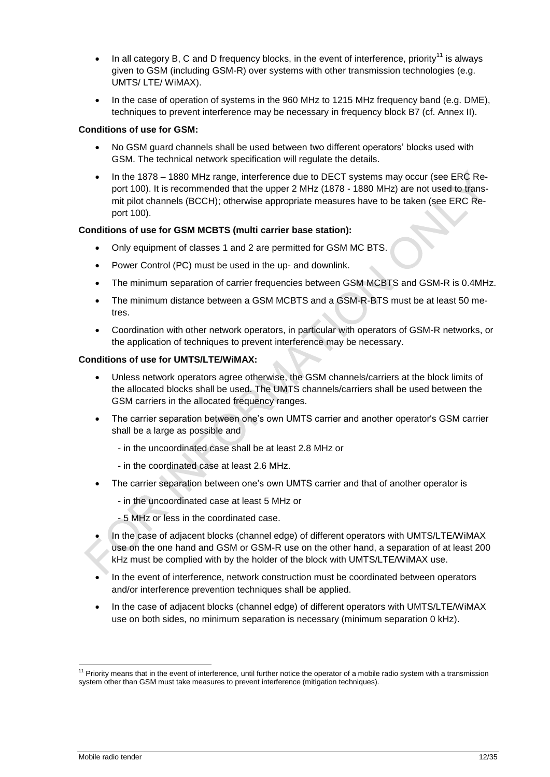- In all category B, C and D frequency blocks, in the event of interference, priority<sup>11</sup> is always given to GSM (including GSM-R) over systems with other transmission technologies (e.g. UMTS/ LTE/ WiMAX).
- In the case of operation of systems in the 960 MHz to 1215 MHz frequency band (e.g. DME), techniques to prevent interference may be necessary in frequency block B7 (cf. Annex II).

#### **Conditions of use for GSM:**

- No GSM guard channels shall be used between two different operators' blocks used with GSM. The technical network specification will regulate the details.
- In the 1878 1880 MHz range, interference due to DECT systems may occur (see ERC Report 100). It is recommended that the upper 2 MHz (1878 - 1880 MHz) are not used to transmit pilot channels (BCCH); otherwise appropriate measures have to be taken (see ERC Report 100).

#### **Conditions of use for GSM MCBTS (multi carrier base station):**

- Only equipment of classes 1 and 2 are permitted for GSM MC BTS.
- Power Control (PC) must be used in the up- and downlink.
- The minimum separation of carrier frequencies between GSM MCBTS and GSM-R is 0.4MHz.
- The minimum distance between a GSM MCBTS and a GSM-R-BTS must be at least 50 metres.
- Coordination with other network operators, in particular with operators of GSM-R networks, or the application of techniques to prevent interference may be necessary.

#### **Conditions of use for UMTS/LTE/WiMAX:**

- Unless network operators agree otherwise, the GSM channels/carriers at the block limits of the allocated blocks shall be used. The UMTS channels/carriers shall be used between the GSM carriers in the allocated frequency ranges.
- The carrier separation between one's own UMTS carrier and another operator's GSM carrier shall be a large as possible and
	- in the uncoordinated case shall be at least 2.8 MHz or
	- in the coordinated case at least 2.6 MHz.
- The carrier separation between one's own UMTS carrier and that of another operator is
	- in the uncoordinated case at least 5 MHz or
	- 5 MHz or less in the coordinated case.
- In the case of adjacent blocks (channel edge) of different operators with UMTS/LTE/WiMAX use on the one hand and GSM or GSM-R use on the other hand, a separation of at least 200 kHz must be complied with by the holder of the block with UMTS/LTE/WiMAX use.
- In the event of interference, network construction must be coordinated between operators and/or interference prevention techniques shall be applied.
- In the case of adjacent blocks (channel edge) of different operators with UMTS/LTE/WiMAX use on both sides, no minimum separation is necessary (minimum separation 0 kHz).

<sup>-</sup> $11$  Priority means that in the event of interference, until further notice the operator of a mobile radio system with a transmission system other than GSM must take measures to prevent interference (mitigation techniques).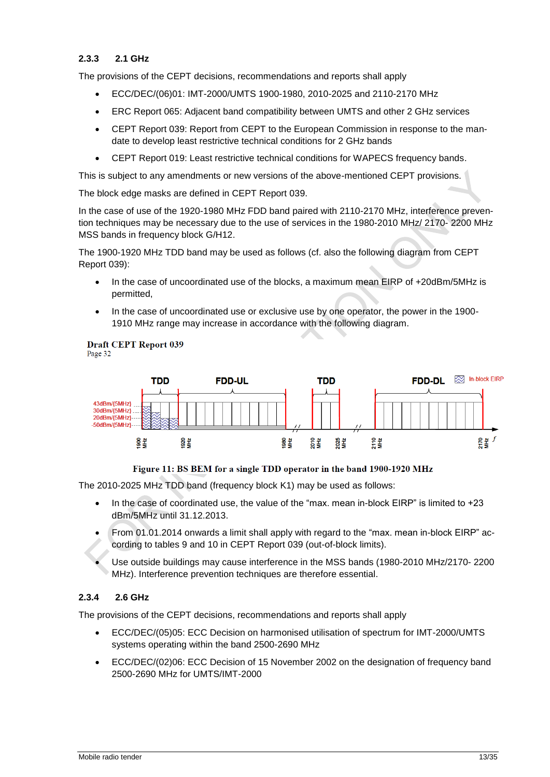#### <span id="page-12-0"></span>**2.3.3 2.1 GHz**

The provisions of the CEPT decisions, recommendations and reports shall apply

- ECC/DEC/(06)01: IMT-2000/UMTS 1900-1980, 2010-2025 and 2110-2170 MHz
- ERC Report 065: Adjacent band compatibility between UMTS and other 2 GHz services
- CEPT Report 039: Report from CEPT to the European Commission in response to the mandate to develop least restrictive technical conditions for 2 GHz bands
- CEPT Report 019: Least restrictive technical conditions for WAPECS frequency bands.

This is subject to any amendments or new versions of the above-mentioned CEPT provisions.

The block edge masks are defined in CEPT Report 039.

In the case of use of the 1920-1980 MHz FDD band paired with 2110-2170 MHz, interference prevention techniques may be necessary due to the use of services in the 1980-2010 MHz/ 2170- 2200 MHz MSS bands in frequency block G/H12.

The 1900-1920 MHz TDD band may be used as follows (cf. also the following diagram from CEPT Report 039):

- In the case of uncoordinated use of the blocks, a maximum mean EIRP of +20dBm/5MHz is permitted,
- In the case of uncoordinated use or exclusive use by one operator, the power in the 1900- 1910 MHz range may increase in accordance with the following diagram.

#### **Draft CEPT Report 039** Page 32





#### Figure 11: BS BEM for a single TDD operator in the band 1900-1920 MHz

The 2010-2025 MHz TDD band (frequency block K1) may be used as follows:

- $\bullet$  In the case of coordinated use, the value of the "max. mean in-block EIRP" is limited to +23 dBm/5MHz until 31.12.2013.
- From 01.01.2014 onwards a limit shall apply with regard to the "max. mean in-block EIRP" according to tables 9 and 10 in CEPT Report 039 (out-of-block limits).
- Use outside buildings may cause interference in the MSS bands (1980-2010 MHz/2170- 2200 MHz). Interference prevention techniques are therefore essential.

### <span id="page-12-1"></span>**2.3.4 2.6 GHz**

The provisions of the CEPT decisions, recommendations and reports shall apply

- ECC/DEC/(05)05: ECC Decision on harmonised utilisation of spectrum for IMT-2000/UMTS systems operating within the band 2500-2690 MHz
- ECC/DEC/(02)06: ECC Decision of 15 November 2002 on the designation of frequency band 2500-2690 MHz for UMTS/IMT-2000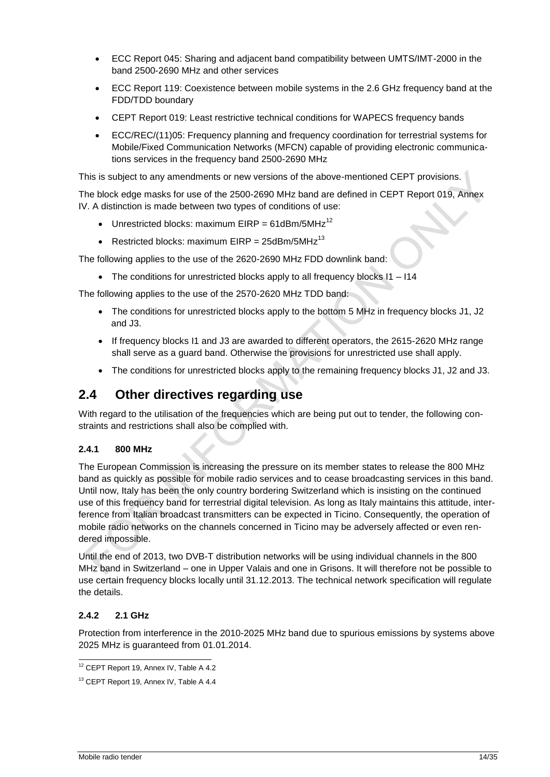- ECC Report 045: Sharing and adjacent band compatibility between UMTS/IMT-2000 in the band 2500-2690 MHz and other services
- ECC Report 119: Coexistence between mobile systems in the 2.6 GHz frequency band at the FDD/TDD boundary
- CEPT Report 019: Least restrictive technical conditions for WAPECS frequency bands
- ECC/REC/(11)05: Frequency planning and frequency coordination for terrestrial systems for Mobile/Fixed Communication Networks (MFCN) capable of providing electronic communications services in the frequency band 2500-2690 MHz

This is subject to any amendments or new versions of the above-mentioned CEPT provisions.

The block edge masks for use of the 2500-2690 MHz band are defined in CEPT Report 019, Annex IV. A distinction is made between two types of conditions of use:

- Unrestricted blocks: maximum EIRP = 61dBm/5MHz<sup>12</sup>
- Restricted blocks: maximum EIRP =  $25$ dBm/5MHz<sup>13</sup>

The following applies to the use of the 2620-2690 MHz FDD downlink band:

• The conditions for unrestricted blocks apply to all frequency blocks I1 – I14

The following applies to the use of the 2570-2620 MHz TDD band:

- The conditions for unrestricted blocks apply to the bottom 5 MHz in frequency blocks J1, J2 and J3.
- If frequency blocks I1 and J3 are awarded to different operators, the 2615-2620 MHz range shall serve as a guard band. Otherwise the provisions for unrestricted use shall apply.
- The conditions for unrestricted blocks apply to the remaining frequency blocks J1, J2 and J3.

### <span id="page-13-0"></span>**2.4 Other directives regarding use**

With regard to the utilisation of the frequencies which are being put out to tender, the following constraints and restrictions shall also be complied with.

### <span id="page-13-1"></span>**2.4.1 800 MHz**

The European Commission is increasing the pressure on its member states to release the 800 MHz band as quickly as possible for mobile radio services and to cease broadcasting services in this band. Until now, Italy has been the only country bordering Switzerland which is insisting on the continued use of this frequency band for terrestrial digital television. As long as Italy maintains this attitude, interference from Italian broadcast transmitters can be expected in Ticino. Consequently, the operation of mobile radio networks on the channels concerned in Ticino may be adversely affected or even rendered impossible.

Until the end of 2013, two DVB-T distribution networks will be using individual channels in the 800 MHz band in Switzerland – one in Upper Valais and one in Grisons. It will therefore not be possible to use certain frequency blocks locally until 31.12.2013. The technical network specification will regulate the details.

### **2.4.2 2.1 GHz**

Protection from interference in the 2010-2025 MHz band due to spurious emissions by systems above 2025 MHz is guaranteed from 01.01.2014.

<sup>-</sup><sup>12</sup> CEPT Report 19, Annex IV, Table A 4.2

<sup>&</sup>lt;sup>13</sup> CEPT Report 19, Annex IV, Table A 4.4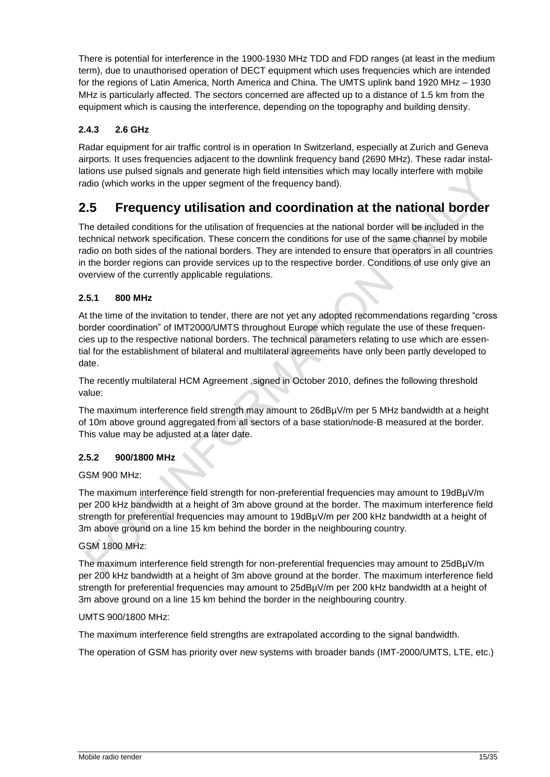There is potential for interference in the 1900-1930 MHz TDD and FDD ranges (at least in the medium term), due to unauthorised operation of DECT equipment which uses frequencies which are intended for the regions of Latin America, North America and China. The UMTS uplink band 1920 MHz – 1930 MHz is particularly affected. The sectors concerned are affected up to a distance of 1.5 km from the equipment which is causing the interference, depending on the topography and building density.

### **2.4.3 2.6 GHz**

Radar equipment for air traffic control is in operation In Switzerland, especially at Zurich and Geneva airports. It uses frequencies adjacent to the downlink frequency band (2690 MHz). These radar installations use pulsed signals and generate high field intensities which may locally interfere with mobile radio (which works in the upper segment of the frequency band).

### <span id="page-14-0"></span>**2.5 Frequency utilisation and coordination at the national border**

The detailed conditions for the utilisation of frequencies at the national border will be included in the technical network specification. These concern the conditions for use of the same channel by mobile radio on both sides of the national borders. They are intended to ensure that operators in all countries in the border regions can provide services up to the respective border. Conditions of use only give an overview of the currently applicable regulations.

### **2.5.1 800 MHz**

At the time of the invitation to tender, there are not yet any adopted recommendations regarding "cross border coordination" of IMT2000/UMTS throughout Europe which regulate the use of these frequencies up to the respective national borders. The technical parameters relating to use which are essential for the establishment of bilateral and multilateral agreements have only been partly developed to date.

The recently multilateral HCM Agreement ,signed in October 2010, defines the following threshold value:

The maximum interference field strength may amount to 26dBµV/m per 5 MHz bandwidth at a height of 10m above ground aggregated from all sectors of a base station/node-B measured at the border. This value may be adjusted at a later date.

### **2.5.2 900/1800 MHz**

GSM 900 MHz:

The maximum interference field strength for non-preferential frequencies may amount to 19dBµV/m per 200 kHz bandwidth at a height of 3m above ground at the border. The maximum interference field strength for preferential frequencies may amount to 19dBµV/m per 200 kHz bandwidth at a height of 3m above ground on a line 15 km behind the border in the neighbouring country.

### GSM 1800 MHz:

The maximum interference field strength for non-preferential frequencies may amount to 25dBµV/m per 200 kHz bandwidth at a height of 3m above ground at the border. The maximum interference field strength for preferential frequencies may amount to 25dBµV/m per 200 kHz bandwidth at a height of 3m above ground on a line 15 km behind the border in the neighbouring country.

#### UMTS 900/1800 MHz:

The maximum interference field strengths are extrapolated according to the signal bandwidth.

The operation of GSM has priority over new systems with broader bands (IMT-2000/UMTS, LTE, etc.)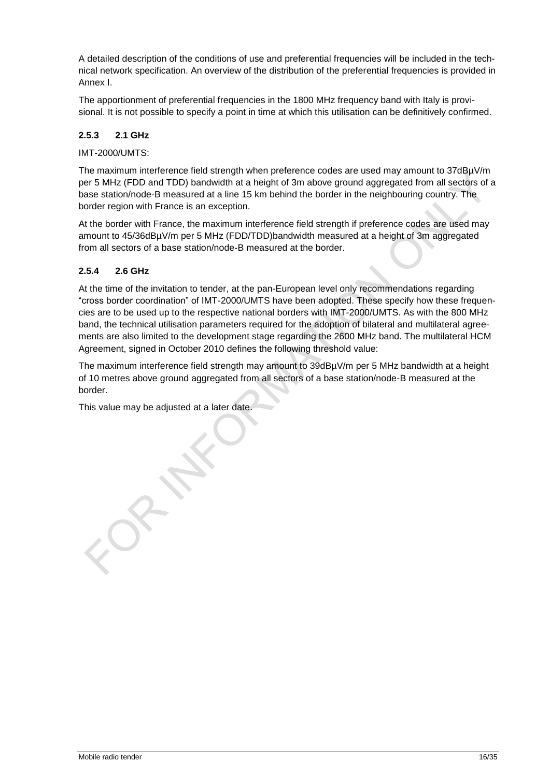A detailed description of the conditions of use and preferential frequencies will be included in the technical network specification. An overview of the distribution of the preferential frequencies is provided in Annex I.

The apportionment of preferential frequencies in the 1800 MHz frequency band with Italy is provisional. It is not possible to specify a point in time at which this utilisation can be definitively confirmed.

### **2.5.3 2.1 GHz**

#### IMT-2000/UMTS:

The maximum interference field strength when preference codes are used may amount to 37dBµV/m per 5 MHz (FDD and TDD) bandwidth at a height of 3m above ground aggregated from all sectors of a base station/node-B measured at a line 15 km behind the border in the neighbouring country. The border region with France is an exception.

At the border with France, the maximum interference field strength if preference codes are used may amount to 45/36dBµV/m per 5 MHz (FDD/TDD)bandwidth measured at a height of 3m aggregated from all sectors of a base station/node-B measured at the border.

### **2.5.4 2.6 GHz**

At the time of the invitation to tender, at the pan-European level only recommendations regarding "cross border coordination" of IMT-2000/UMTS have been adopted. These specify how these frequencies are to be used up to the respective national borders with IMT-2000/UMTS. As with the 800 MHz band, the technical utilisation parameters required for the adoption of bilateral and multilateral agreements are also limited to the development stage regarding the 2600 MHz band. The multilateral HCM Agreement, signed in October 2010 defines the following threshold value:

The maximum interference field strength may amount to 39dBµV/m per 5 MHz bandwidth at a height of 10 metres above ground aggregated from all sectors of a base station/node-B measured at the border.

This value may be adjusted at a later date.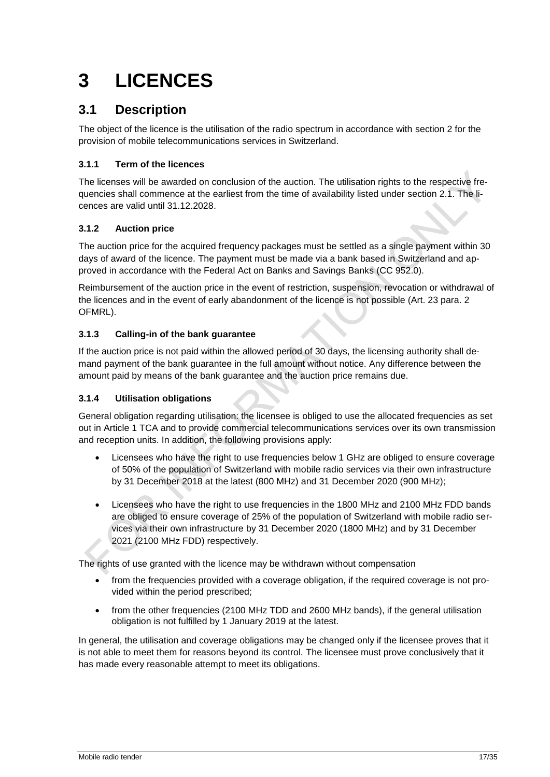# <span id="page-16-0"></span>**3 LICENCES**

### <span id="page-16-1"></span>**3.1 Description**

The object of the licence is the utilisation of the radio spectrum in accordance with section 2 for the provision of mobile telecommunications services in Switzerland.

### **3.1.1 Term of the licences**

The licenses will be awarded on conclusion of the auction. The utilisation rights to the respective frequencies shall commence at the earliest from the time of availability listed under section 2.1. The licences are valid until 31.12.2028.

### **3.1.2 Auction price**

The auction price for the acquired frequency packages must be settled as a single payment within 30 days of award of the licence. The payment must be made via a bank based in Switzerland and approved in accordance with the Federal Act on Banks and Savings Banks (CC 952.0).

Reimbursement of the auction price in the event of restriction, suspension, revocation or withdrawal of the licences and in the event of early abandonment of the licence is not possible (Art. 23 para. 2 OFMRL).

### **3.1.3 Calling-in of the bank guarantee**

If the auction price is not paid within the allowed period of 30 days, the licensing authority shall demand payment of the bank guarantee in the full amount without notice. Any difference between the amount paid by means of the bank guarantee and the auction price remains due.

### <span id="page-16-2"></span>**3.1.4 Utilisation obligations**

General obligation regarding utilisation: the licensee is obliged to use the allocated frequencies as set out in Article 1 TCA and to provide commercial telecommunications services over its own transmission and reception units. In addition, the following provisions apply:

- Licensees who have the right to use frequencies below 1 GHz are obliged to ensure coverage of 50% of the population of Switzerland with mobile radio services via their own infrastructure by 31 December 2018 at the latest (800 MHz) and 31 December 2020 (900 MHz);
- Licensees who have the right to use frequencies in the 1800 MHz and 2100 MHz FDD bands are obliged to ensure coverage of 25% of the population of Switzerland with mobile radio services via their own infrastructure by 31 December 2020 (1800 MHz) and by 31 December 2021 (2100 MHz FDD) respectively.

The rights of use granted with the licence may be withdrawn without compensation

- from the frequencies provided with a coverage obligation, if the required coverage is not provided within the period prescribed;
- from the other frequencies (2100 MHz TDD and 2600 MHz bands), if the general utilisation obligation is not fulfilled by 1 January 2019 at the latest.

In general, the utilisation and coverage obligations may be changed only if the licensee proves that it is not able to meet them for reasons beyond its control. The licensee must prove conclusively that it has made every reasonable attempt to meet its obligations.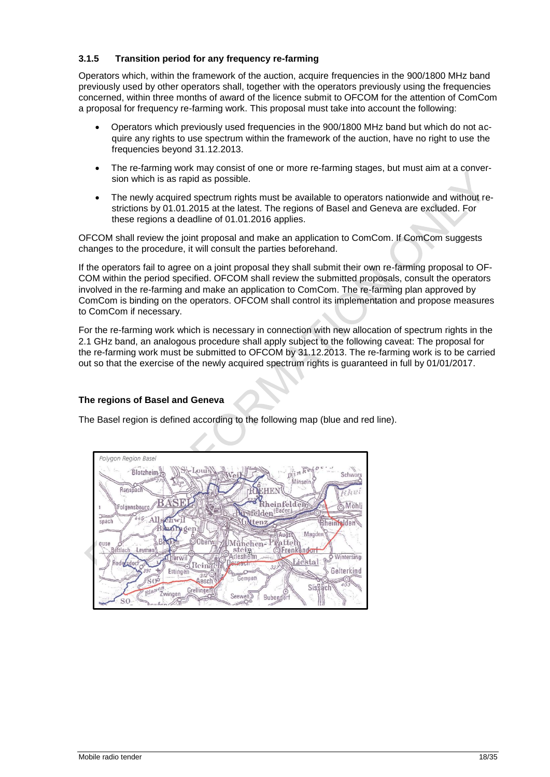#### **3.1.5 Transition period for any frequency re-farming**

Operators which, within the framework of the auction, acquire frequencies in the 900/1800 MHz band previously used by other operators shall, together with the operators previously using the frequencies concerned, within three months of award of the licence submit to OFCOM for the attention of ComCom a proposal for frequency re-farming work. This proposal must take into account the following:

- Operators which previously used frequencies in the 900/1800 MHz band but which do not acquire any rights to use spectrum within the framework of the auction, have no right to use the frequencies beyond 31.12.2013.
- The re-farming work may consist of one or more re-farming stages, but must aim at a conversion which is as rapid as possible.
- The newly acquired spectrum rights must be available to operators nationwide and without restrictions by 01.01.2015 at the latest. The regions of Basel and Geneva are excluded. For these regions a deadline of 01.01.2016 applies.

OFCOM shall review the joint proposal and make an application to ComCom. If ComCom suggests changes to the procedure, it will consult the parties beforehand.

If the operators fail to agree on a joint proposal they shall submit their own re-farming proposal to OF-COM within the period specified. OFCOM shall review the submitted proposals, consult the operators involved in the re-farming and make an application to ComCom. The re-farming plan approved by ComCom is binding on the operators. OFCOM shall control its implementation and propose measures to ComCom if necessary.

For the re-farming work which is necessary in connection with new allocation of spectrum rights in the 2.1 GHz band, an analogous procedure shall apply subject to the following caveat: The proposal for the re-farming work must be submitted to OFCOM by 31.12.2013. The re-farming work is to be carried out so that the exercise of the newly acquired spectrum rights is guaranteed in full by 01/01/2017.

### **The regions of Basel and Geneva**

The Basel region is defined according to the following map (blue and red line).

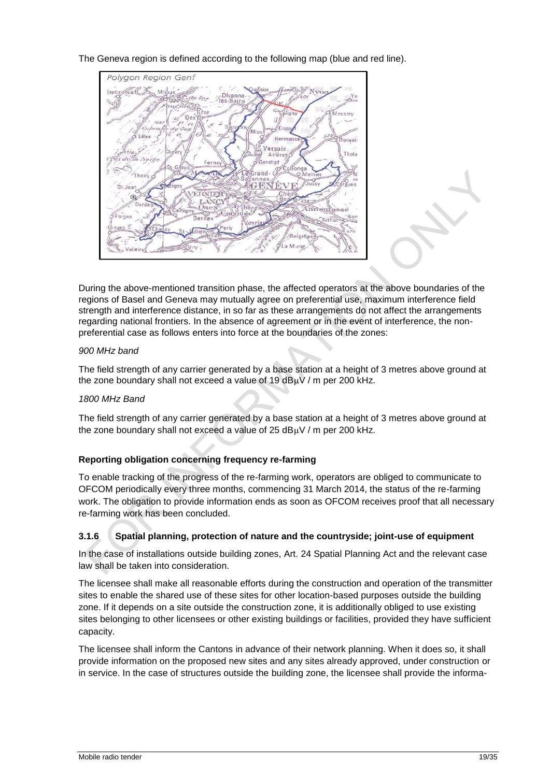The Geneva region is defined according to the following map (blue and red line).



During the above-mentioned transition phase, the affected operators at the above boundaries of the regions of Basel and Geneva may mutually agree on preferential use, maximum interference field strength and interference distance, in so far as these arrangements do not affect the arrangements regarding national frontiers. In the absence of agreement or in the event of interference, the nonpreferential case as follows enters into force at the boundaries of the zones:

#### *900 MHz band*

The field strength of any carrier generated by a base station at a height of 3 metres above ground at the zone boundary shall not exceed a value of  $19 dB<sub>\mu</sub>V/m$  per 200 kHz.

#### *1800 MHz Band*

The field strength of any carrier generated by a base station at a height of 3 metres above ground at the zone boundary shall not exceed a value of  $25$  dB $\mu$ V / m per 200 kHz.

### **Reporting obligation concerning frequency re-farming**

To enable tracking of the progress of the re-farming work, operators are obliged to communicate to OFCOM periodically every three months, commencing 31 March 2014, the status of the re-farming work. The obligation to provide information ends as soon as OFCOM receives proof that all necessary re-farming work has been concluded.

### **3.1.6 Spatial planning, protection of nature and the countryside; joint-use of equipment**

In the case of installations outside building zones, Art. 24 Spatial Planning Act and the relevant case law shall be taken into consideration.

The licensee shall make all reasonable efforts during the construction and operation of the transmitter sites to enable the shared use of these sites for other location-based purposes outside the building zone. If it depends on a site outside the construction zone, it is additionally obliged to use existing sites belonging to other licensees or other existing buildings or facilities, provided they have sufficient capacity.

The licensee shall inform the Cantons in advance of their network planning. When it does so, it shall provide information on the proposed new sites and any sites already approved, under construction or in service. In the case of structures outside the building zone, the licensee shall provide the informa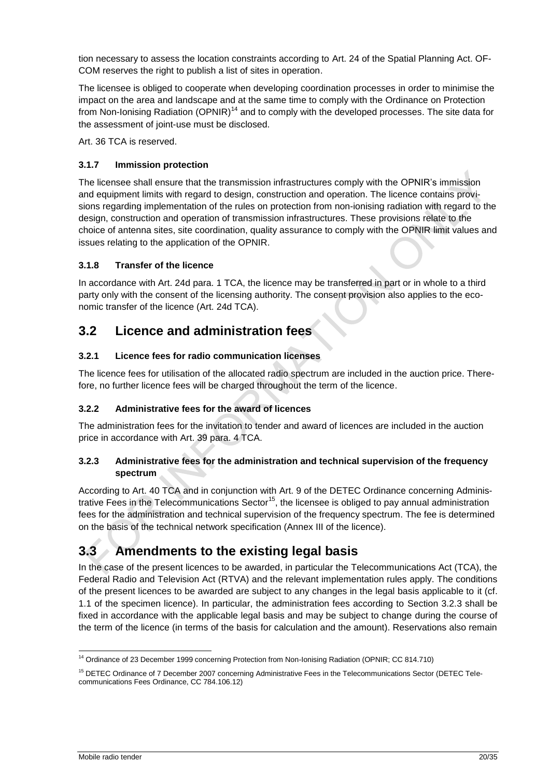tion necessary to assess the location constraints according to Art. 24 of the Spatial Planning Act. OF-COM reserves the right to publish a list of sites in operation.

The licensee is obliged to cooperate when developing coordination processes in order to minimise the impact on the area and landscape and at the same time to comply with the Ordinance on Protection from Non-Ionising Radiation (OPNIR)<sup>14</sup> and to comply with the developed processes. The site data for the assessment of joint-use must be disclosed.

Art. 36 TCA is reserved.

### **3.1.7 Immission protection**

The licensee shall ensure that the transmission infrastructures comply with the OPNIR's immission and equipment limits with regard to design, construction and operation. The licence contains provisions regarding implementation of the rules on protection from non-ionising radiation with regard to the design, construction and operation of transmission infrastructures. These provisions relate to the choice of antenna sites, site coordination, quality assurance to comply with the OPNIR limit values and issues relating to the application of the OPNIR.

### **3.1.8 Transfer of the licence**

In accordance with Art. 24d para. 1 TCA, the licence may be transferred in part or in whole to a third party only with the consent of the licensing authority. The consent provision also applies to the economic transfer of the licence (Art. 24d TCA).

### <span id="page-19-0"></span>**3.2 Licence and administration fees**

### **3.2.1 Licence fees for radio communication licenses**

The licence fees for utilisation of the allocated radio spectrum are included in the auction price. Therefore, no further licence fees will be charged throughout the term of the licence.

### **3.2.2 Administrative fees for the award of licences**

The administration fees for the invitation to tender and award of licences are included in the auction price in accordance with Art. 39 para. 4 TCA.

### **3.2.3 Administrative fees for the administration and technical supervision of the frequency spectrum**

According to Art. 40 TCA and in conjunction with Art. 9 of the DETEC Ordinance concerning Administrative Fees in the Telecommunications Sector<sup>15</sup>, the licensee is obliged to pay annual administration fees for the administration and technical supervision of the frequency spectrum. The fee is determined on the basis of the technical network specification (Annex III of the licence).

### <span id="page-19-1"></span>**3.3 Amendments to the existing legal basis**

In the case of the present licences to be awarded, in particular the Telecommunications Act (TCA), the Federal Radio and Television Act (RTVA) and the relevant implementation rules apply. The conditions of the present licences to be awarded are subject to any changes in the legal basis applicable to it (cf. 1.1 of the specimen licence). In particular, the administration fees according to Section 3.2.3 shall be fixed in accordance with the applicable legal basis and may be subject to change during the course of the term of the licence (in terms of the basis for calculation and the amount). Reservations also remain

<sup>1</sup> <sup>14</sup> Ordinance of 23 December 1999 concerning Protection from Non-Ionising Radiation (OPNIR; CC 814.710)

<sup>&</sup>lt;sup>15</sup> DETEC Ordinance of 7 December 2007 concerning Administrative Fees in the Telecommunications Sector (DETEC Telecommunications Fees Ordinance, CC 784.106.12)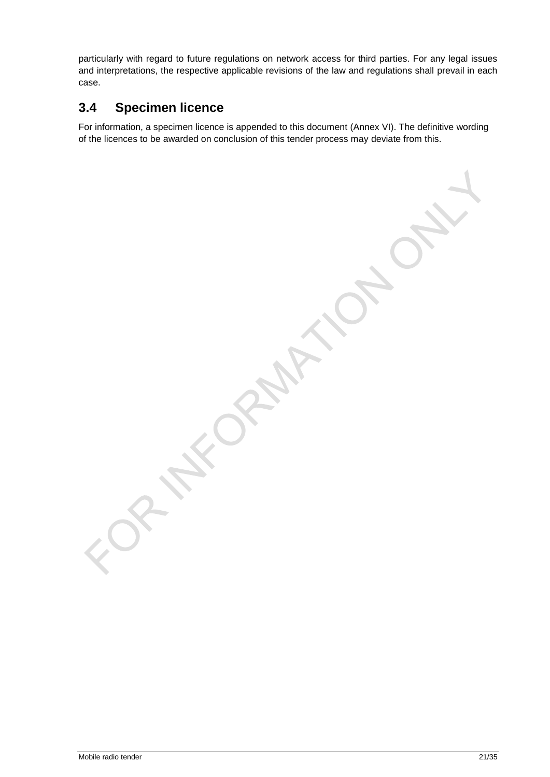particularly with regard to future regulations on network access for third parties. For any legal issues and interpretations, the respective applicable revisions of the law and regulations shall prevail in each case.

### <span id="page-20-0"></span>**3.4 Specimen licence**

For information, a specimen licence is appended to this document (Annex VI). The definitive wording of the licences to be awarded on conclusion of this tender process may deviate from this.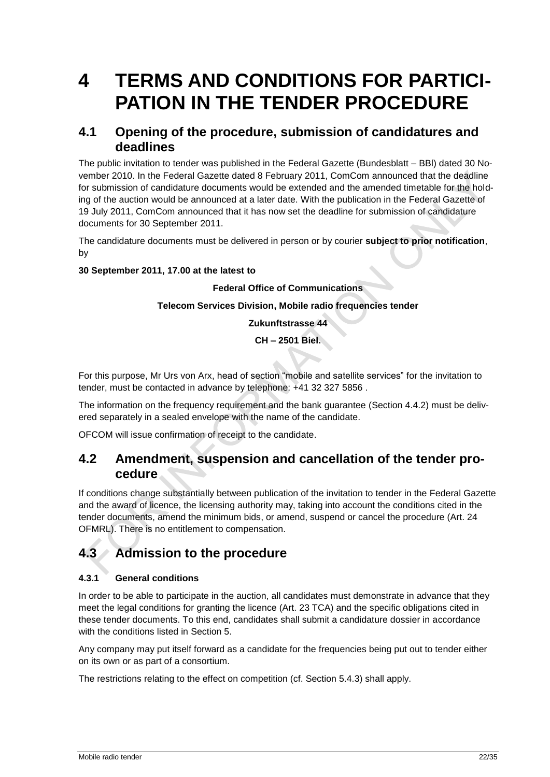## <span id="page-21-0"></span>**4 TERMS AND CONDITIONS FOR PARTICI-PATION IN THE TENDER PROCEDURE**

### <span id="page-21-1"></span>**4.1 Opening of the procedure, submission of candidatures and deadlines**

The public invitation to tender was published in the Federal Gazette (Bundesblatt – BBl) dated 30 November 2010. In the Federal Gazette dated 8 February 2011, ComCom announced that the deadline for submission of candidature documents would be extended and the amended timetable for the holding of the auction would be announced at a later date. With the publication in the Federal Gazette of 19 July 2011, ComCom announced that it has now set the deadline for submission of candidature documents for 30 September 2011.

The candidature documents must be delivered in person or by courier **subject to prior notification**, by

### **30 September 2011, 17.00 at the latest to**

#### **Federal Office of Communications**

#### **Telecom Services Division, Mobile radio frequencies tender**

**Zukunftstrasse 44**

**CH – 2501 Biel.**

For this purpose, Mr Urs von Arx, head of section "mobile and satellite services" for the invitation to tender, must be contacted in advance by telephone: +41 32 327 5856 .

The information on the frequency requirement and the bank guarantee (Section [4.4.2\)](#page-22-3) must be delivered separately in a sealed envelope with the name of the candidate.

OFCOM will issue confirmation of receipt to the candidate.

### <span id="page-21-2"></span>**4.2 Amendment, suspension and cancellation of the tender procedure**

If conditions change substantially between publication of the invitation to tender in the Federal Gazette and the award of licence, the licensing authority may, taking into account the conditions cited in the tender documents, amend the minimum bids, or amend, suspend or cancel the procedure (Art. 24 OFMRL). There is no entitlement to compensation.

### <span id="page-21-3"></span>**4.3 Admission to the procedure**

### **4.3.1 General conditions**

In order to be able to participate in the auction, all candidates must demonstrate in advance that they meet the legal conditions for granting the licence (Art. 23 TCA) and the specific obligations cited in these tender documents. To this end, candidates shall submit a candidature dossier in accordance with the conditions listed in Section 5.

Any company may put itself forward as a candidate for the frequencies being put out to tender either on its own or as part of a consortium.

The restrictions relating to the effect on competition (cf. Section 5.4.3) shall apply.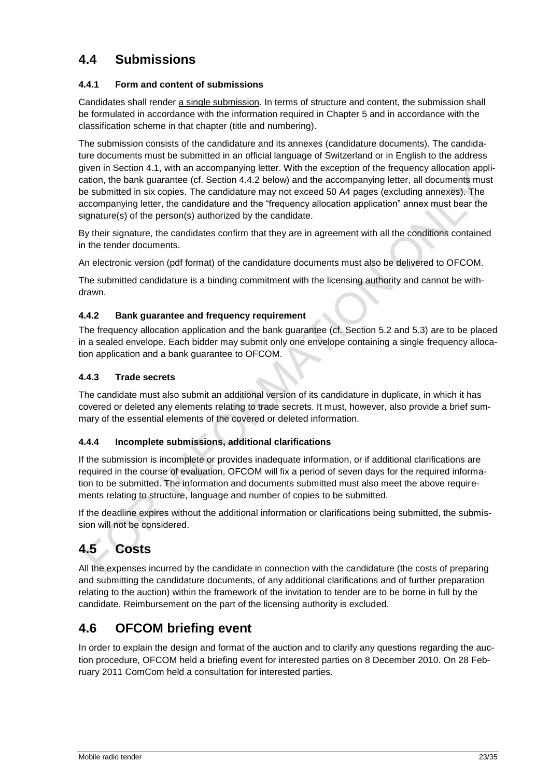### <span id="page-22-0"></span>**4.4 Submissions**

### **4.4.1 Form and content of submissions**

Candidates shall render a single submission*.* In terms of structure and content, the submission shall be formulated in accordance with the information required in Chapter 5 and in accordance with the classification scheme in that chapter (title and numbering).

The submission consists of the candidature and its annexes (candidature documents). The candidature documents must be submitted in an official language of Switzerland or in English to the address given in Section [4.1,](#page-21-1) with an accompanying letter. With the exception of the frequency allocation application, the bank guarantee (cf. Section 4.4.2 below) and the accompanying letter, all documents must be submitted in six copies. The candidature may not exceed 50 A4 pages (excluding annexes). The accompanying letter, the candidature and the "frequency allocation application" annex must bear the signature(s) of the person(s) authorized by the candidate.

By their signature, the candidates confirm that they are in agreement with all the conditions contained in the tender documents.

An electronic version (pdf format) of the candidature documents must also be delivered to OFCOM.

The submitted candidature is a binding commitment with the licensing authority and cannot be withdrawn.

### <span id="page-22-3"></span>**4.4.2 Bank guarantee and frequency requirement**

The frequency allocation application and the bank guarantee (cf. Section [5.2](#page-24-2) and [5.3\)](#page-25-0) are to be placed in a sealed envelope. Each bidder may submit only one envelope containing a single frequency allocation application and a bank guarantee to OFCOM.

### **4.4.3 Trade secrets**

The candidate must also submit an additional version of its candidature in duplicate, in which it has covered or deleted any elements relating to trade secrets. It must, however, also provide a brief summary of the essential elements of the covered or deleted information.

### **4.4.4 Incomplete submissions, additional clarifications**

If the submission is incomplete or provides inadequate information, or if additional clarifications are required in the course of evaluation, OFCOM will fix a period of seven days for the required information to be submitted. The information and documents submitted must also meet the above requirements relating to structure, language and number of copies to be submitted.

If the deadline expires without the additional information or clarifications being submitted, the submission will not be considered.

### <span id="page-22-1"></span>**4.5 Costs**

All the expenses incurred by the candidate in connection with the candidature (the costs of preparing and submitting the candidature documents, of any additional clarifications and of further preparation relating to the auction) within the framework of the invitation to tender are to be borne in full by the candidate. Reimbursement on the part of the licensing authority is excluded.

### <span id="page-22-2"></span>**4.6 OFCOM briefing event**

In order to explain the design and format of the auction and to clarify any questions regarding the auction procedure, OFCOM held a briefing event for interested parties on 8 December 2010. On 28 February 2011 ComCom held a consultation for interested parties.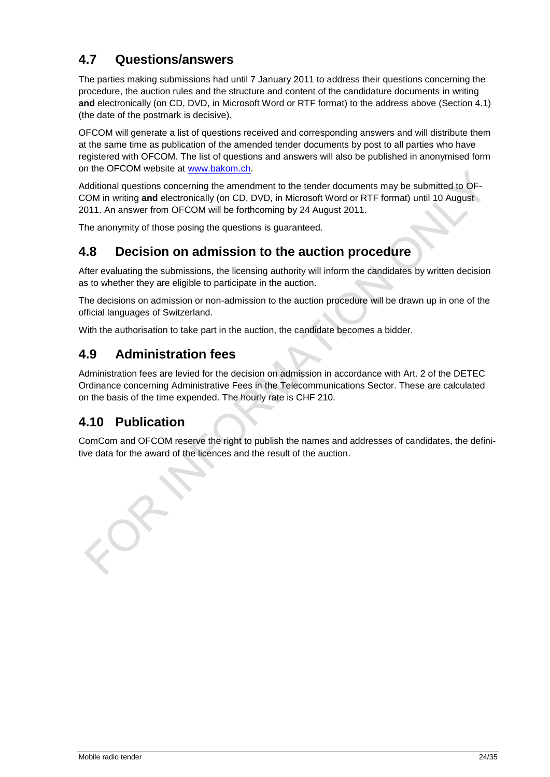### <span id="page-23-0"></span>**4.7 Questions/answers**

The parties making submissions had until 7 January 2011 to address their questions concerning the procedure, the auction rules and the structure and content of the candidature documents in writing **and** electronically (on CD, DVD, in Microsoft Word or RTF format) to the address above (Section 4.1) (the date of the postmark is decisive).

OFCOM will generate a list of questions received and corresponding answers and will distribute them at the same time as publication of the amended tender documents by post to all parties who have registered with OFCOM. The list of questions and answers will also be published in anonymised form on the OFCOM website at [www.bakom.ch.](file:///C:/Users/U80758365/AppData/Local/Microsoft/AppData/Local/Microsoft/AppData/Local/Microsoft/AppData/Local/Microsoft/documents%20and%20settings/u80714043/local%20settings/temp/ostemp/00073f13/cache/04/13/01/www.bakom.ch)

Additional questions concerning the amendment to the tender documents may be submitted to OF-COM in writing **and** electronically (on CD, DVD, in Microsoft Word or RTF format) until 10 August 2011. An answer from OFCOM will be forthcoming by 24 August 2011.

The anonymity of those posing the questions is guaranteed.

### <span id="page-23-1"></span>**4.8 Decision on admission to the auction procedure**

After evaluating the submissions, the licensing authority will inform the candidates by written decision as to whether they are eligible to participate in the auction.

The decisions on admission or non-admission to the auction procedure will be drawn up in one of the official languages of Switzerland.

With the authorisation to take part in the auction, the candidate becomes a bidder.

### <span id="page-23-2"></span>**4.9 Administration fees**

Administration fees are levied for the decision on admission in accordance with Art. 2 of the DETEC Ordinance concerning Administrative Fees in the Telecommunications Sector. These are calculated on the basis of the time expended. The hourly rate is CHF 210.

### <span id="page-23-3"></span>**4.10 Publication**

ComCom and OFCOM reserve the right to publish the names and addresses of candidates, the definitive data for the award of the licences and the result of the auction.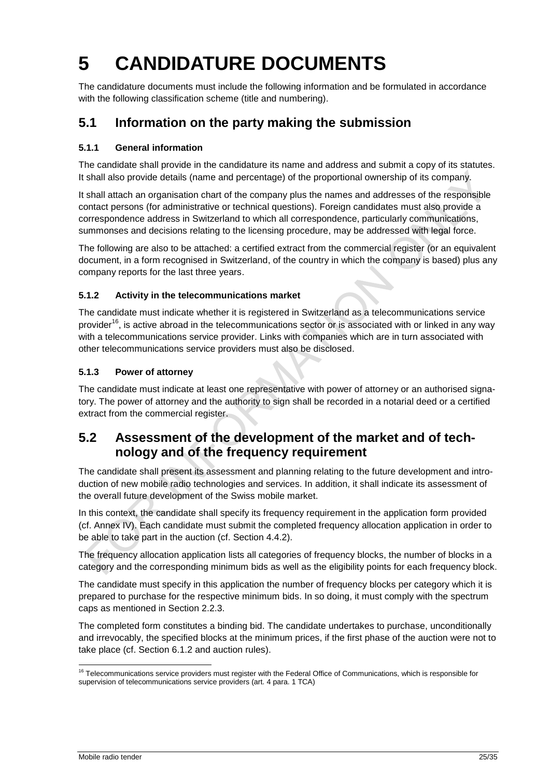# <span id="page-24-0"></span>**5 CANDIDATURE DOCUMENTS**

The candidature documents must include the following information and be formulated in accordance with the following classification scheme (title and numbering).

### <span id="page-24-1"></span>**5.1 Information on the party making the submission**

### **5.1.1 General information**

The candidate shall provide in the candidature its name and address and submit a copy of its statutes. It shall also provide details (name and percentage) of the proportional ownership of its company.

It shall attach an organisation chart of the company plus the names and addresses of the responsible contact persons (for administrative or technical questions). Foreign candidates must also provide a correspondence address in Switzerland to which all correspondence, particularly communications, summonses and decisions relating to the licensing procedure, may be addressed with legal force.

The following are also to be attached: a certified extract from the commercial register (or an equivalent document, in a form recognised in Switzerland, of the country in which the company is based) plus any company reports for the last three years.

### **5.1.2 Activity in the telecommunications market**

The candidate must indicate whether it is registered in Switzerland as a telecommunications service provider<sup>16</sup>, is active abroad in the telecommunications sector or is associated with or linked in any way with a telecommunications service provider. Links with companies which are in turn associated with other telecommunications service providers must also be disclosed.

### **5.1.3 Power of attorney**

The candidate must indicate at least one representative with power of attorney or an authorised signatory. The power of attorney and the authority to sign shall be recorded in a notarial deed or a certified extract from the commercial register.

### <span id="page-24-2"></span>**5.2 Assessment of the development of the market and of technology and of the frequency requirement**

The candidate shall present its assessment and planning relating to the future development and introduction of new mobile radio technologies and services. In addition, it shall indicate its assessment of the overall future development of the Swiss mobile market.

In this context, the candidate shall specify its frequency requirement in the application form provided (cf. Annex IV). Each candidate must submit the completed frequency allocation application in order to be able to take part in the auction (cf. Section [4.4.2\)](#page-22-3).

The frequency allocation application lists all categories of frequency blocks, the number of blocks in a category and the corresponding minimum bids as well as the eligibility points for each frequency block.

The candidate must specify in this application the number of frequency blocks per category which it is prepared to purchase for the respective minimum bids. In so doing, it must comply with the spectrum caps as mentioned in Section [2.2.3.](#page-9-2)

The completed form constitutes a binding bid. The candidate undertakes to purchase, unconditionally and irrevocably, the specified blocks at the minimum prices, if the first phase of the auction were not to take place (cf. Section [6.1.2](#page-28-2) and auction rules).

<sup>-</sup><sup>16</sup> Telecommunications service providers must register with the Federal Office of Communications, which is responsible for supervision of telecommunications service providers (art. 4 para. 1 TCA)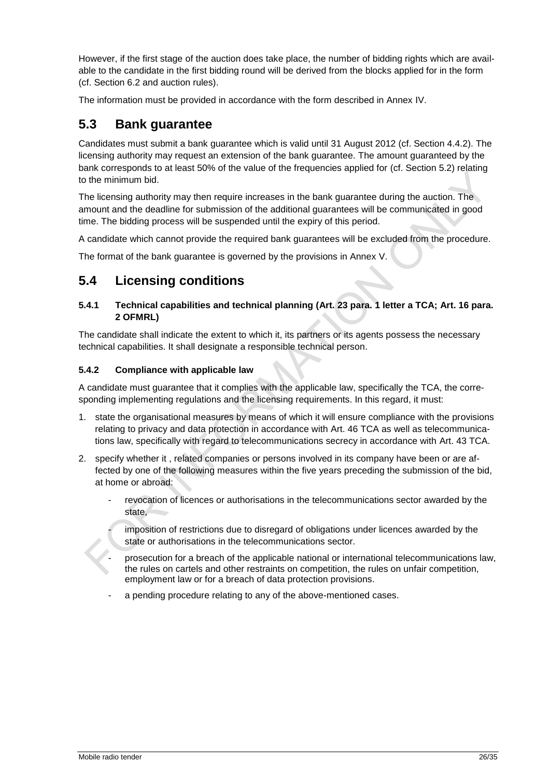However, if the first stage of the auction does take place, the number of bidding rights which are available to the candidate in the first bidding round will be derived from the blocks applied for in the form (cf. Section 6.2 and auction rules).

The information must be provided in accordance with the form described in Annex IV.

### <span id="page-25-0"></span>**5.3 Bank guarantee**

Candidates must submit a bank guarantee which is valid until 31 August 2012 (cf. Section 4.4.2). The licensing authority may request an extension of the bank guarantee. The amount guaranteed by the bank corresponds to at least 50% of the value of the frequencies applied for (cf. Section 5.2) relating to the minimum bid.

The licensing authority may then require increases in the bank guarantee during the auction. The amount and the deadline for submission of the additional guarantees will be communicated in good time. The bidding process will be suspended until the expiry of this period.

A candidate which cannot provide the required bank guarantees will be excluded from the procedure.

The format of the bank guarantee is governed by the provisions in Annex V.

### <span id="page-25-1"></span>**5.4 Licensing conditions**

#### **5.4.1 Technical capabilities and technical planning (Art. 23 para. 1 letter a TCA; Art. 16 para. 2 OFMRL)**

The candidate shall indicate the extent to which it, its partners or its agents possess the necessary technical capabilities. It shall designate a responsible technical person.

### **5.4.2 Compliance with applicable law**

A candidate must guarantee that it complies with the applicable law, specifically the TCA, the corresponding implementing regulations and the licensing requirements. In this regard, it must:

- 1. state the organisational measures by means of which it will ensure compliance with the provisions relating to privacy and data protection in accordance with Art. 46 TCA as well as telecommunications law, specifically with regard to telecommunications secrecy in accordance with Art. 43 TCA.
- 2. specify whether it , related companies or persons involved in its company have been or are affected by one of the following measures within the five years preceding the submission of the bid, at home or abroad:
	- revocation of licences or authorisations in the telecommunications sector awarded by the state,

imposition of restrictions due to disregard of obligations under licences awarded by the state or authorisations in the telecommunications sector.

prosecution for a breach of the applicable national or international telecommunications law, the rules on cartels and other restraints on competition, the rules on unfair competition, employment law or for a breach of data protection provisions.

a pending procedure relating to any of the above-mentioned cases.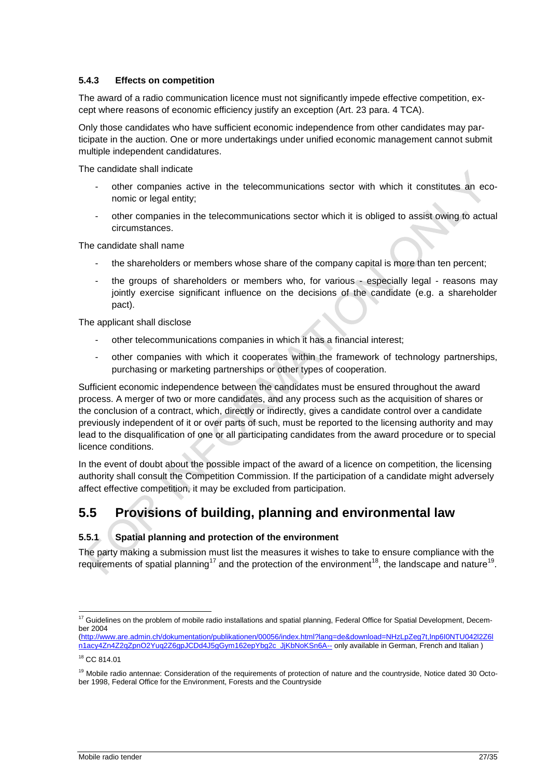#### **5.4.3 Effects on competition**

The award of a radio communication licence must not significantly impede effective competition, except where reasons of economic efficiency justify an exception (Art. 23 para. 4 TCA).

Only those candidates who have sufficient economic independence from other candidates may participate in the auction. One or more undertakings under unified economic management cannot submit multiple independent candidatures.

The candidate shall indicate

- other companies active in the telecommunications sector with which it constitutes an economic or legal entity;
- other companies in the telecommunications sector which it is obliged to assist owing to actual circumstances.

The candidate shall name

- the shareholders or members whose share of the company capital is more than ten percent;
- the groups of shareholders or members who, for various especially legal reasons may jointly exercise significant influence on the decisions of the candidate (e.g. a shareholder pact).

The applicant shall disclose

- other telecommunications companies in which it has a financial interest;
- other companies with which it cooperates within the framework of technology partnerships, purchasing or marketing partnerships or other types of cooperation.

Sufficient economic independence between the candidates must be ensured throughout the award process. A merger of two or more candidates, and any process such as the acquisition of shares or the conclusion of a contract, which, directly or indirectly, gives a candidate control over a candidate previously independent of it or over parts of such, must be reported to the licensing authority and may lead to the disqualification of one or all participating candidates from the award procedure or to special licence conditions.

In the event of doubt about the possible impact of the award of a licence on competition, the licensing authority shall consult the Competition Commission. If the participation of a candidate might adversely affect effective competition, it may be excluded from participation.

### <span id="page-26-0"></span>**5.5 Provisions of building, planning and environmental law**

#### **5.5.1 Spatial planning and protection of the environment**

The party making a submission must list the measures it wishes to take to ensure compliance with the requirements of spatial planning<sup>17</sup> and the protection of the environment<sup>18</sup>, the landscape and nature<sup>19</sup>.

<sup>1</sup>  $17$  Guidelines on the problem of mobile radio installations and spatial planning, Federal Office for Spatial Development, December 2004

[<sup>\(</sup>http://www.are.admin.ch/dokumentation/publikationen/00056/index.html?lang=de&download=NHzLpZeg7t,lnp6I0NTU042l2Z6l](http://www.are.admin.ch/dokumentation/publikationen/00056/index.html?lang=de&download=NHzLpZeg7t,lnp6I0NTU042l2Z6ln1acy4Zn4Z2qZpnO2Yuq2Z6gpJCDd4J5gGym162epYbg2c_JjKbNoKSn6A--) [n1acy4Zn4Z2qZpnO2Yuq2Z6gpJCDd4J5gGym162epYbg2c\\_JjKbNoKSn6A--](http://www.are.admin.ch/dokumentation/publikationen/00056/index.html?lang=de&download=NHzLpZeg7t,lnp6I0NTU042l2Z6ln1acy4Zn4Z2qZpnO2Yuq2Z6gpJCDd4J5gGym162epYbg2c_JjKbNoKSn6A--) only available in German, French and Italian )

<sup>18</sup> CC 814.01

<sup>&</sup>lt;sup>19</sup> Mobile radio antennae: Consideration of the requirements of protection of nature and the countryside, Notice dated 30 October 1998, Federal Office for the Environment, Forests and the Countryside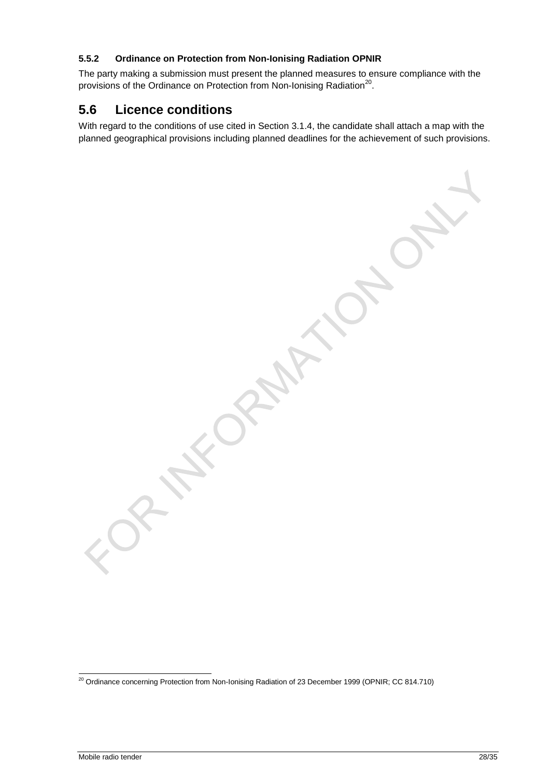### **5.5.2 Ordinance on Protection from Non-Ionising Radiation OPNIR**

The party making a submission must present the planned measures to ensure compliance with the provisions of the Ordinance on Protection from Non-Ionising Radiation<sup>20</sup>.

### <span id="page-27-0"></span>**5.6 Licence conditions**

With regard to the conditions of use cited in Section [3.1.4,](#page-16-2) the candidate shall attach a map with the planned geographical provisions including planned deadlines for the achievement of such provisions.

1

 $^{20}$  Ordinance concerning Protection from Non-Ionising Radiation of 23 December 1999 (OPNIR; CC 814.710)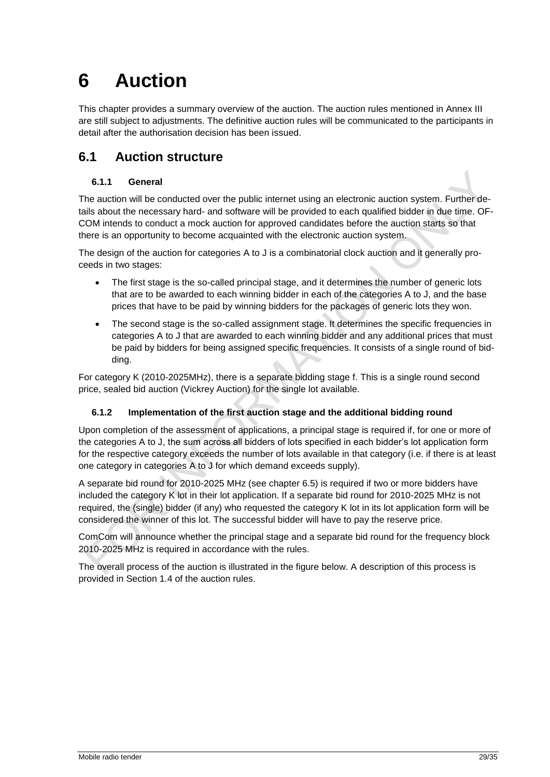## <span id="page-28-0"></span>**6 Auction**

This chapter provides a summary overview of the auction. The auction rules mentioned in Annex III are still subject to adjustments. The definitive auction rules will be communicated to the participants in detail after the authorisation decision has been issued.

### <span id="page-28-1"></span>**6.1 Auction structure**

### **6.1.1 General**

The auction will be conducted over the public internet using an electronic auction system. Further details about the necessary hard- and software will be provided to each qualified bidder in due time. OF-COM intends to conduct a mock auction for approved candidates before the auction starts so that there is an opportunity to become acquainted with the electronic auction system.

The design of the auction for categories A to J is a combinatorial clock auction and it generally proceeds in two stages:

- The first stage is the so-called principal stage, and it determines the number of generic lots that are to be awarded to each winning bidder in each of the categories A to J, and the base prices that have to be paid by winning bidders for the packages of generic lots they won.
- The second stage is the so-called assignment stage. It determines the specific frequencies in categories A to J that are awarded to each winning bidder and any additional prices that must be paid by bidders for being assigned specific frequencies. It consists of a single round of bidding.

For category K (2010-2025MHz), there is a separate bidding stage f. This is a single round second price, sealed bid auction (Vickrey Auction) for the single lot available.

### <span id="page-28-2"></span>**6.1.2 Implementation of the first auction stage and the additional bidding round**

Upon completion of the assessment of applications, a principal stage is required if, for one or more of the categories A to J, the sum across all bidders of lots specified in each bidder's lot application form for the respective category exceeds the number of lots available in that category (i.e. if there is at least one category in categories A to J for which demand exceeds supply).

A separate bid round for 2010-2025 MHz (see chapter 6.5) is required if two or more bidders have included the category K lot in their lot application. If a separate bid round for 2010-2025 MHz is not required, the (single) bidder (if any) who requested the category K lot in its lot application form will be considered the winner of this lot. The successful bidder will have to pay the reserve price.

ComCom will announce whether the principal stage and a separate bid round for the frequency block 2010-2025 MHz is required in accordance with the rules.

The overall process of the auction is illustrated in the figure below. A description of this process is provided in Section 1.4 of the auction rules.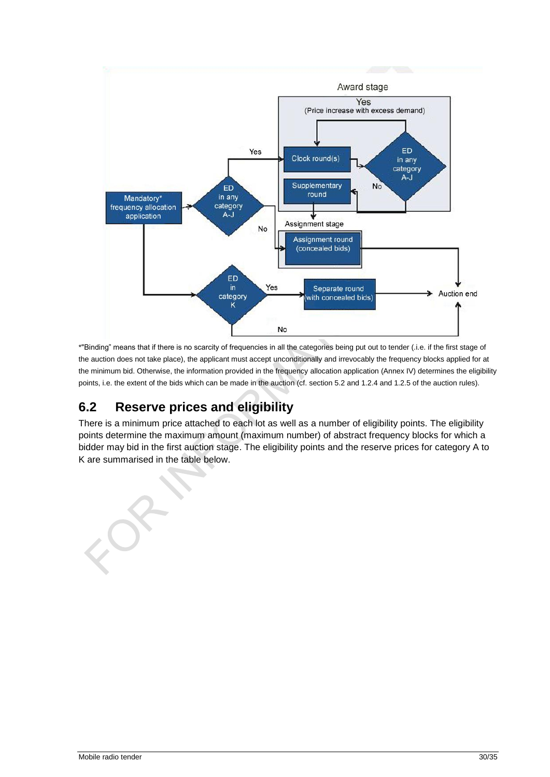

\*"Binding" means that if there is no scarcity of frequencies in all the categories being put out to tender (.i.e. if the first stage of the auction does not take place), the applicant must accept unconditionally and irrevocably the frequency blocks applied for at the minimum bid. Otherwise, the information provided in the frequency allocation application (Annex IV) determines the eligibility points, i.e. the extent of the bids which can be made in the auction (cf. section 5.2 and 1.2.4 and 1.2.5 of the auction rules).

### <span id="page-29-0"></span>**6.2 Reserve prices and eligibility**

There is a minimum price attached to each lot as well as a number of eligibility points. The eligibility points determine the maximum amount (maximum number) of abstract frequency blocks for which a bidder may bid in the first auction stage. The eligibility points and the reserve prices for category A to K are summarised in the table below.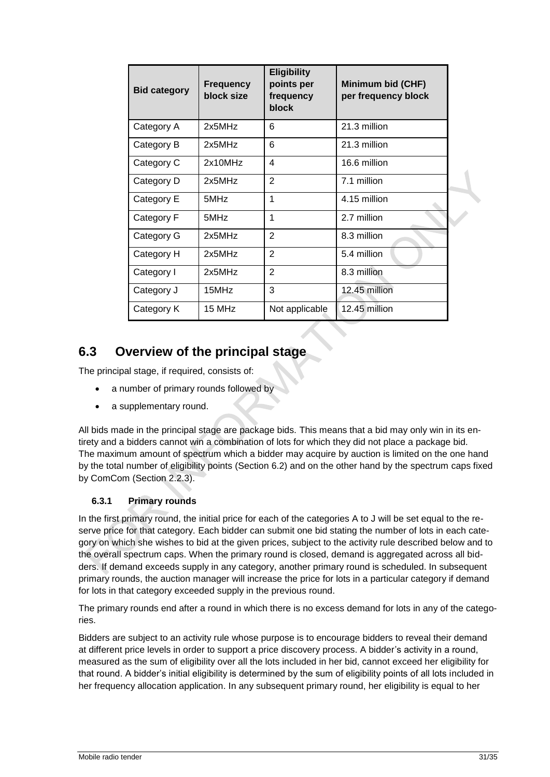| <b>Bid category</b> | <b>Frequency</b><br>block size | <b>Eligibility</b><br>points per<br>frequency<br><b>block</b> | Minimum bid (CHF)<br>per frequency block |  |
|---------------------|--------------------------------|---------------------------------------------------------------|------------------------------------------|--|
| Category A          | 2x5MHz                         | 6                                                             | 21.3 million                             |  |
| Category B          | 2x5MHz                         | 6                                                             | 21.3 million                             |  |
| Category C          | 2x10MHz                        | 4                                                             | 16.6 million                             |  |
| Category D          | 2x5MHz                         | $\overline{2}$                                                | 7.1 million                              |  |
| Category E          | 5MHz                           | 1                                                             | 4.15 million                             |  |
| Category F          | 5MHz                           | 1                                                             | 2.7 million                              |  |
| Category G          | 2x5MHz                         | $\overline{2}$                                                | 8.3 million                              |  |
| Category H          | 2x5MHz                         | $\overline{2}$                                                | 5.4 million                              |  |
| Category I          | 2x5MHz                         | $\overline{2}$                                                | 8.3 million                              |  |
| Category J          | 15MHz                          | 3                                                             | 12.45 million                            |  |
| Category K          | 15 MHz                         | Not applicable                                                | 12.45 million                            |  |

### <span id="page-30-0"></span>**6.3 Overview of the principal stage**

The principal stage, if required, consists of:

- a number of primary rounds followed by
- a supplementary round.

All bids made in the principal stage are package bids. This means that a bid may only win in its entirety and a bidders cannot win a combination of lots for which they did not place a package bid. The maximum amount of spectrum which a bidder may acquire by auction is limited on the one hand by the total number of eligibility points (Section [6.2\)](#page-29-0) and on the other hand by the spectrum caps fixed by ComCom (Section [2.2.3\)](#page-9-2).

### **6.3.1 Primary rounds**

In the first primary round, the initial price for each of the categories A to J will be set equal to the reserve price for that category. Each bidder can submit one bid stating the number of lots in each category on which she wishes to bid at the given prices, subject to the activity rule described below and to the overall spectrum caps. When the primary round is closed, demand is aggregated across all bidders. If demand exceeds supply in any category, another primary round is scheduled. In subsequent primary rounds, the auction manager will increase the price for lots in a particular category if demand for lots in that category exceeded supply in the previous round.

The primary rounds end after a round in which there is no excess demand for lots in any of the categories.

Bidders are subject to an activity rule whose purpose is to encourage bidders to reveal their demand at different price levels in order to support a price discovery process. A bidder's activity in a round, measured as the sum of eligibility over all the lots included in her bid, cannot exceed her eligibility for that round. A bidder's initial eligibility is determined by the sum of eligibility points of all lots included in her frequency allocation application. In any subsequent primary round, her eligibility is equal to her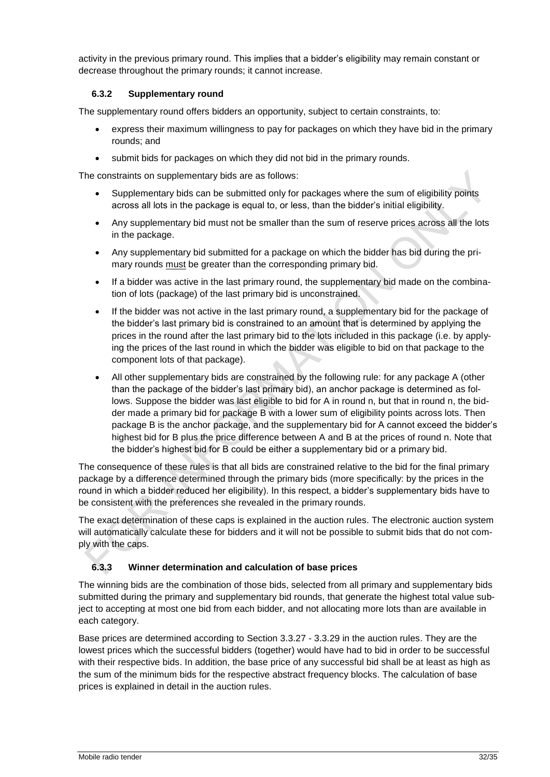activity in the previous primary round. This implies that a bidder's eligibility may remain constant or decrease throughout the primary rounds; it cannot increase.

### **6.3.2 Supplementary round**

The supplementary round offers bidders an opportunity, subject to certain constraints, to:

- express their maximum willingness to pay for packages on which they have bid in the primary rounds; and
- submit bids for packages on which they did not bid in the primary rounds.

The constraints on supplementary bids are as follows:

- Supplementary bids can be submitted only for packages where the sum of eligibility points across all lots in the package is equal to, or less, than the bidder's initial eligibility.
- Any supplementary bid must not be smaller than the sum of reserve prices across all the lots in the package.
- Any supplementary bid submitted for a package on which the bidder has bid during the primary rounds must be greater than the corresponding primary bid.
- If a bidder was active in the last primary round, the supplementary bid made on the combination of lots (package) of the last primary bid is unconstrained.
- If the bidder was not active in the last primary round, a supplementary bid for the package of the bidder's last primary bid is constrained to an amount that is determined by applying the prices in the round after the last primary bid to the lots included in this package (i.e. by applying the prices of the last round in which the bidder was eligible to bid on that package to the component lots of that package).
- All other supplementary bids are constrained by the following rule: for any package A (other than the package of the bidder's last primary bid), an anchor package is determined as follows. Suppose the bidder was last eligible to bid for A in round n, but that in round n, the bidder made a primary bid for package B with a lower sum of eligibility points across lots. Then package B is the anchor package, and the supplementary bid for A cannot exceed the bidder's highest bid for B plus the price difference between A and B at the prices of round n. Note that the bidder's highest bid for B could be either a supplementary bid or a primary bid.

The consequence of these rules is that all bids are constrained relative to the bid for the final primary package by a difference determined through the primary bids (more specifically: by the prices in the round in which a bidder reduced her eligibility). In this respect, a bidder's supplementary bids have to be consistent with the preferences she revealed in the primary rounds.

The exact determination of these caps is explained in the auction rules. The electronic auction system will automatically calculate these for bidders and it will not be possible to submit bids that do not comply with the caps.

### **6.3.3 Winner determination and calculation of base prices**

The winning bids are the combination of those bids, selected from all primary and supplementary bids submitted during the primary and supplementary bid rounds, that generate the highest total value subject to accepting at most one bid from each bidder, and not allocating more lots than are available in each category.

Base prices are determined according to Section 3.3.27 - 3.3.29 in the auction rules. They are the lowest prices which the successful bidders (together) would have had to bid in order to be successful with their respective bids. In addition, the base price of any successful bid shall be at least as high as the sum of the minimum bids for the respective abstract frequency blocks. The calculation of base prices is explained in detail in the auction rules.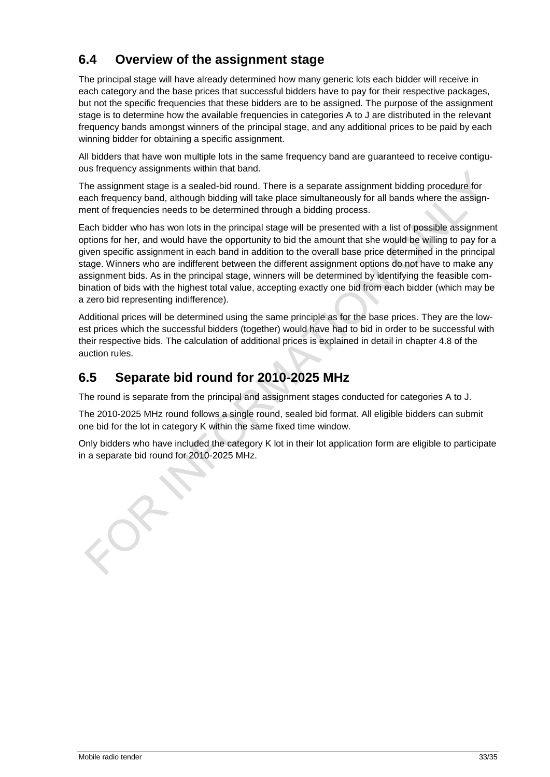### <span id="page-32-0"></span>**6.4 Overview of the assignment stage**

The principal stage will have already determined how many generic lots each bidder will receive in each category and the base prices that successful bidders have to pay for their respective packages, but not the specific frequencies that these bidders are to be assigned. The purpose of the assignment stage is to determine how the available frequencies in categories A to J are distributed in the relevant frequency bands amongst winners of the principal stage, and any additional prices to be paid by each winning bidder for obtaining a specific assignment.

All bidders that have won multiple lots in the same frequency band are guaranteed to receive contiguous frequency assignments within that band.

The assignment stage is a sealed-bid round. There is a separate assignment bidding procedure for each frequency band, although bidding will take place simultaneously for all bands where the assignment of frequencies needs to be determined through a bidding process.

Each bidder who has won lots in the principal stage will be presented with a list of possible assignment options for her, and would have the opportunity to bid the amount that she would be willing to pay for a given specific assignment in each band in addition to the overall base price determined in the principal stage. Winners who are indifferent between the different assignment options do not have to make any assignment bids. As in the principal stage, winners will be determined by identifying the feasible combination of bids with the highest total value, accepting exactly one bid from each bidder (which may be a zero bid representing indifference).

Additional prices will be determined using the same principle as for the base prices. They are the lowest prices which the successful bidders (together) would have had to bid in order to be successful with their respective bids. The calculation of additional prices is explained in detail in chapter 4.8 of the auction rules.

### <span id="page-32-1"></span>**6.5 Separate bid round for 2010-2025 MHz**

The round is separate from the principal and assignment stages conducted for categories A to J.

The 2010-2025 MHz round follows a single round, sealed bid format. All eligible bidders can submit one bid for the lot in category K within the same fixed time window.

Only bidders who have included the category K lot in their lot application form are eligible to participate in a separate bid round for 2010-2025 MHz.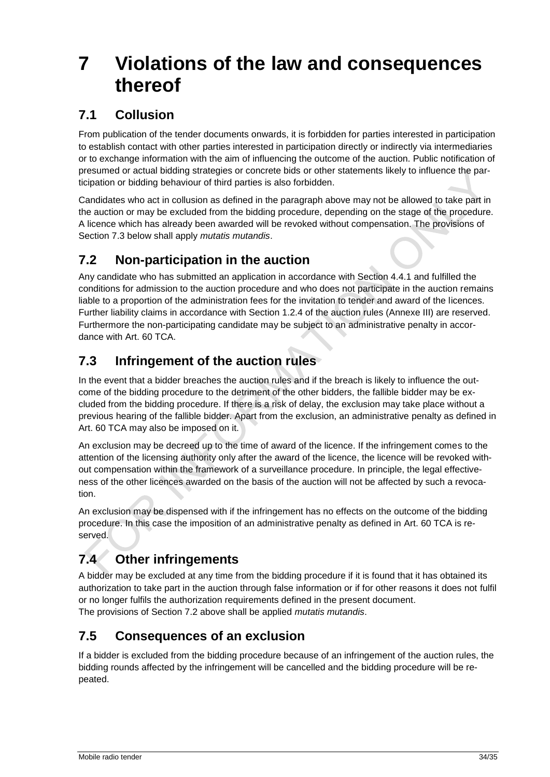## <span id="page-33-0"></span>**7 Violations of the law and consequences thereof**

### <span id="page-33-1"></span>**7.1 Collusion**

From publication of the tender documents onwards, it is forbidden for parties interested in participation to establish contact with other parties interested in participation directly or indirectly via intermediaries or to exchange information with the aim of influencing the outcome of the auction. Public notification of presumed or actual bidding strategies or concrete bids or other statements likely to influence the participation or bidding behaviour of third parties is also forbidden.

Candidates who act in collusion as defined in the paragraph above may not be allowed to take part in the auction or may be excluded from the bidding procedure, depending on the stage of the procedure. A licence which has already been awarded will be revoked without compensation. The provisions of Section 7.3 below shall apply *mutatis mutandis*.

### <span id="page-33-2"></span>**7.2 Non-participation in the auction**

Any candidate who has submitted an application in accordance with Section 4.4.1 and fulfilled the conditions for admission to the auction procedure and who does not participate in the auction remains liable to a proportion of the administration fees for the invitation to tender and award of the licences. Further liability claims in accordance with Section 1.2.4 of the auction rules (Annexe III) are reserved. Furthermore the non-participating candidate may be subject to an administrative penalty in accordance with Art. 60 TCA.

### <span id="page-33-3"></span>**7.3 Infringement of the auction rules**

In the event that a bidder breaches the auction rules and if the breach is likely to influence the outcome of the bidding procedure to the detriment of the other bidders, the fallible bidder may be excluded from the bidding procedure. If there is a risk of delay, the exclusion may take place without a previous hearing of the fallible bidder. Apart from the exclusion, an administrative penalty as defined in Art. 60 TCA may also be imposed on it.

An exclusion may be decreed up to the time of award of the licence. If the infringement comes to the attention of the licensing authority only after the award of the licence, the licence will be revoked without compensation within the framework of a surveillance procedure. In principle, the legal effectiveness of the other licences awarded on the basis of the auction will not be affected by such a revocation.

An exclusion may be dispensed with if the infringement has no effects on the outcome of the bidding procedure. In this case the imposition of an administrative penalty as defined in Art. 60 TCA is reserved.

### <span id="page-33-4"></span>**7.4 Other infringements**

A bidder may be excluded at any time from the bidding procedure if it is found that it has obtained its authorization to take part in the auction through false information or if for other reasons it does not fulfil or no longer fulfils the authorization requirements defined in the present document. The provisions of Section 7.2 above shall be applied *mutatis mutandis*.

### <span id="page-33-5"></span>**7.5 Consequences of an exclusion**

If a bidder is excluded from the bidding procedure because of an infringement of the auction rules, the bidding rounds affected by the infringement will be cancelled and the bidding procedure will be repeated.